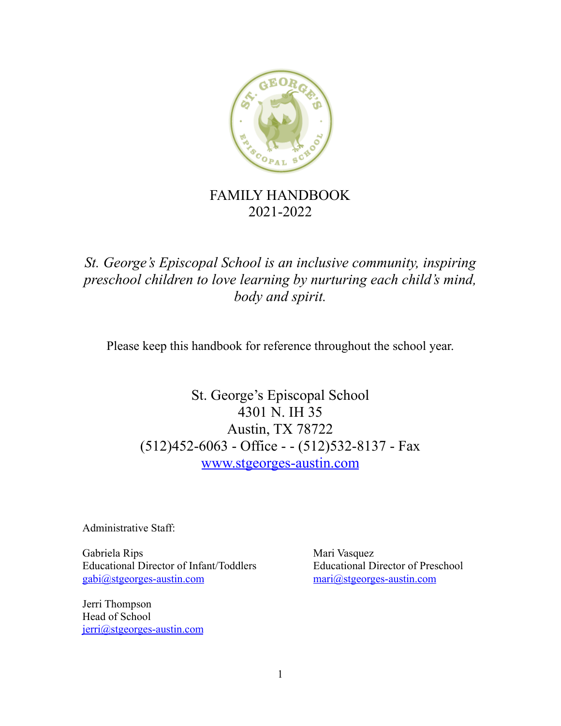

# FAMILY HANDBOOK 2021-2022

*St. George's Episcopal School is an inclusive community, inspiring preschool children to love learning by nurturing each child's mind, body and spirit.*

Please keep this handbook for reference throughout the school year.

St. George's Episcopal School 4301 N. IH 35 Austin, TX 78722 (512)452-6063 - Office - - (512)532-8137 - Fax [www.stgeorges-austin.com](http://www.stgeorges-austin.com)

Administrative Staff:

Gabriela Rips Mari Vasquez Educational Director of Infant/Toddlers Educational Director of Preschool [gabi@stgeorges-austin.com](mailto:gabi@stgeorges-austin.com) mari@stgeorges-austin.com

Jerri Thompson Head of School [jerri@stgeorges-austin.com](mailto:jerri@stgeorges-austin.com)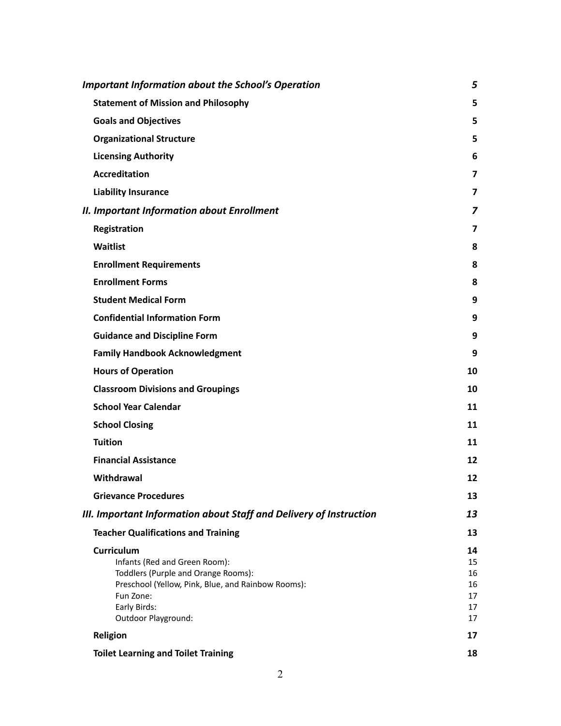| <b>Important Information about the School's Operation</b>          | 5        |
|--------------------------------------------------------------------|----------|
| <b>Statement of Mission and Philosophy</b>                         | 5        |
| <b>Goals and Objectives</b>                                        | 5        |
| <b>Organizational Structure</b>                                    | 5        |
| <b>Licensing Authority</b>                                         | 6        |
| <b>Accreditation</b>                                               | 7        |
| <b>Liability Insurance</b>                                         | 7        |
| <b>II. Important Information about Enrollment</b>                  | 7        |
| Registration                                                       | 7        |
| Waitlist                                                           | 8        |
| <b>Enrollment Requirements</b>                                     | 8        |
| <b>Enrollment Forms</b>                                            | 8        |
| <b>Student Medical Form</b>                                        | 9        |
| <b>Confidential Information Form</b>                               | 9        |
| <b>Guidance and Discipline Form</b>                                | 9        |
| <b>Family Handbook Acknowledgment</b>                              | 9        |
| <b>Hours of Operation</b>                                          | 10       |
| <b>Classroom Divisions and Groupings</b>                           | 10       |
| <b>School Year Calendar</b>                                        | 11       |
| <b>School Closing</b>                                              | 11       |
| <b>Tuition</b>                                                     | 11       |
| <b>Financial Assistance</b>                                        | 12       |
| Withdrawal                                                         | 12       |
| <b>Grievance Procedures</b>                                        | 13       |
| III. Important Information about Staff and Delivery of Instruction | 13       |
| <b>Teacher Qualifications and Training</b>                         | 13       |
| Curriculum                                                         | 14       |
| Infants (Red and Green Room):                                      | 15       |
| Toddlers (Purple and Orange Rooms):                                | 16       |
| Preschool (Yellow, Pink, Blue, and Rainbow Rooms):                 | 16       |
| Fun Zone:<br>Early Birds:                                          | 17<br>17 |
| Outdoor Playground:                                                | 17       |
| Religion                                                           | 17       |
|                                                                    |          |
| <b>Toilet Learning and Toilet Training</b>                         | 18       |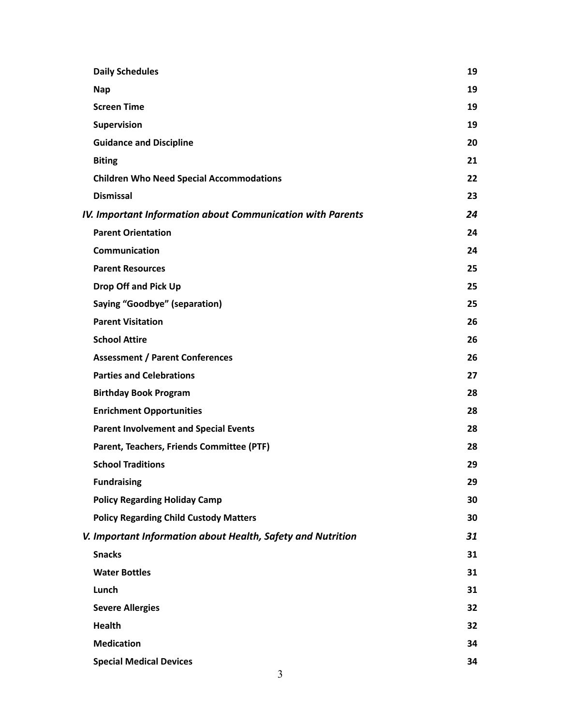| <b>Daily Schedules</b>                                            | 19 |
|-------------------------------------------------------------------|----|
| <b>Nap</b>                                                        | 19 |
| <b>Screen Time</b>                                                | 19 |
| Supervision                                                       | 19 |
| <b>Guidance and Discipline</b>                                    | 20 |
| <b>Biting</b>                                                     | 21 |
| <b>Children Who Need Special Accommodations</b>                   | 22 |
| <b>Dismissal</b>                                                  | 23 |
| <b>IV. Important Information about Communication with Parents</b> | 24 |
| <b>Parent Orientation</b>                                         | 24 |
| <b>Communication</b>                                              | 24 |
| <b>Parent Resources</b>                                           | 25 |
| <b>Drop Off and Pick Up</b>                                       | 25 |
| <b>Saying "Goodbye" (separation)</b>                              | 25 |
| <b>Parent Visitation</b>                                          | 26 |
| <b>School Attire</b>                                              | 26 |
| <b>Assessment / Parent Conferences</b>                            | 26 |
| <b>Parties and Celebrations</b>                                   | 27 |
| <b>Birthday Book Program</b>                                      | 28 |
| <b>Enrichment Opportunities</b>                                   | 28 |
| <b>Parent Involvement and Special Events</b>                      | 28 |
| Parent, Teachers, Friends Committee (PTF)                         | 28 |
| <b>School Traditions</b>                                          | 29 |
| <b>Fundraising</b>                                                | 29 |
| <b>Policy Regarding Holiday Camp</b>                              | 30 |
| <b>Policy Regarding Child Custody Matters</b>                     | 30 |
| V. Important Information about Health, Safety and Nutrition       | 31 |
| <b>Snacks</b>                                                     | 31 |
| <b>Water Bottles</b>                                              | 31 |
| Lunch                                                             | 31 |
| <b>Severe Allergies</b>                                           | 32 |
| <b>Health</b>                                                     | 32 |
| <b>Medication</b>                                                 | 34 |
| <b>Special Medical Devices</b>                                    | 34 |
| 3                                                                 |    |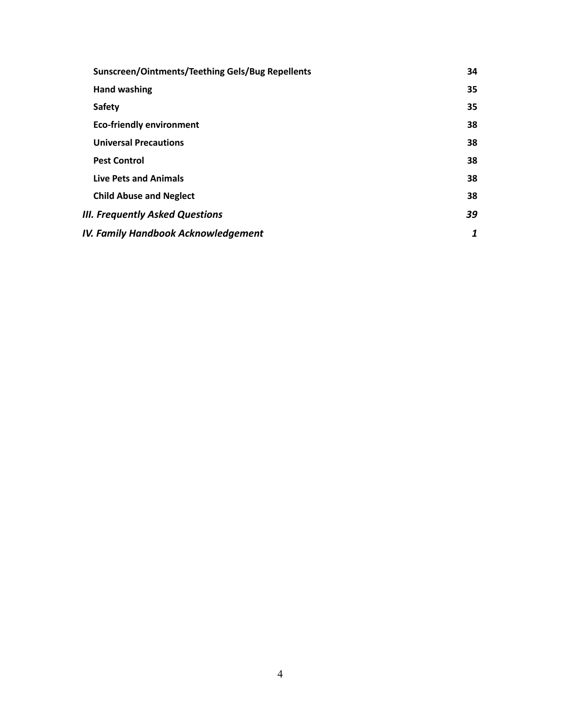| <b>Sunscreen/Ointments/Teething Gels/Bug Repellents</b> | 34 |
|---------------------------------------------------------|----|
| <b>Hand washing</b>                                     | 35 |
| <b>Safety</b>                                           | 35 |
| <b>Eco-friendly environment</b>                         | 38 |
| <b>Universal Precautions</b>                            | 38 |
| <b>Pest Control</b>                                     | 38 |
| <b>Live Pets and Animals</b>                            | 38 |
| <b>Child Abuse and Neglect</b>                          | 38 |
| III. Frequently Asked Questions                         | 39 |
| IV. Family Handbook Acknowledgement                     | 1  |
|                                                         |    |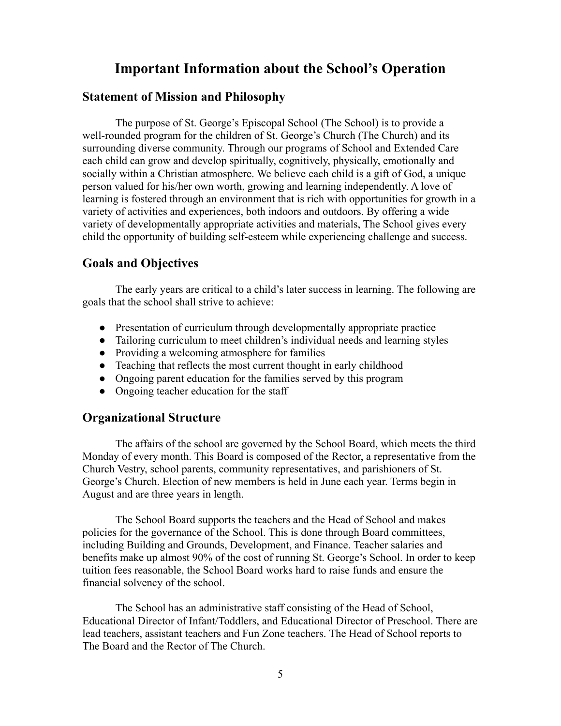# <span id="page-4-0"></span>**Important Information about the School's Operation**

#### <span id="page-4-1"></span>**Statement of Mission and Philosophy**

The purpose of St. George's Episcopal School (The School) is to provide a well-rounded program for the children of St. George's Church (The Church) and its surrounding diverse community. Through our programs of School and Extended Care each child can grow and develop spiritually, cognitively, physically, emotionally and socially within a Christian atmosphere. We believe each child is a gift of God, a unique person valued for his/her own worth, growing and learning independently. A love of learning is fostered through an environment that is rich with opportunities for growth in a variety of activities and experiences, both indoors and outdoors. By offering a wide variety of developmentally appropriate activities and materials, The School gives every child the opportunity of building self-esteem while experiencing challenge and success.

# <span id="page-4-2"></span>**Goals and Objectives**

The early years are critical to a child's later success in learning. The following are goals that the school shall strive to achieve:

- Presentation of curriculum through developmentally appropriate practice
- Tailoring curriculum to meet children's individual needs and learning styles
- Providing a welcoming atmosphere for families
- Teaching that reflects the most current thought in early childhood
- Ongoing parent education for the families served by this program
- Ongoing teacher education for the staff

### <span id="page-4-3"></span>**Organizational Structure**

The affairs of the school are governed by the School Board, which meets the third Monday of every month. This Board is composed of the Rector, a representative from the Church Vestry, school parents, community representatives, and parishioners of St. George's Church. Election of new members is held in June each year. Terms begin in August and are three years in length.

The School Board supports the teachers and the Head of School and makes policies for the governance of the School. This is done through Board committees, including Building and Grounds, Development, and Finance. Teacher salaries and benefits make up almost 90% of the cost of running St. George's School. In order to keep tuition fees reasonable, the School Board works hard to raise funds and ensure the financial solvency of the school.

The School has an administrative staff consisting of the Head of School, Educational Director of Infant/Toddlers, and Educational Director of Preschool. There are lead teachers, assistant teachers and Fun Zone teachers. The Head of School reports to The Board and the Rector of The Church.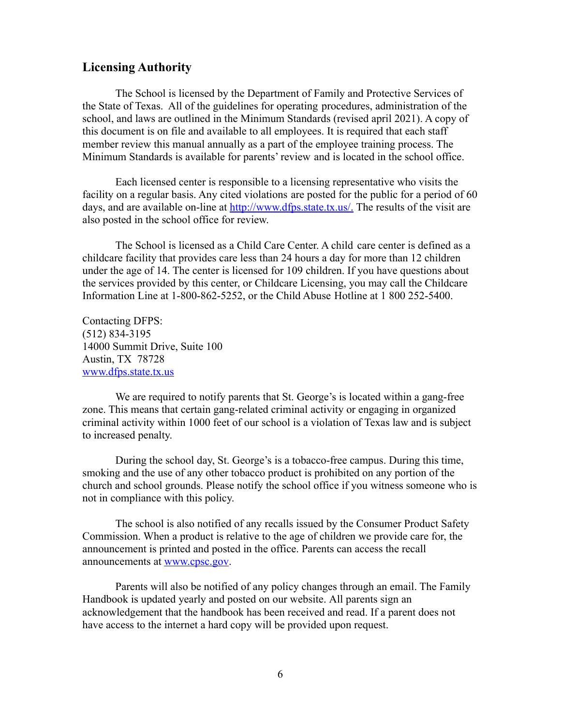# <span id="page-5-0"></span>**Licensing Authority**

The School is licensed by the Department of Family and Protective Services of the State of Texas. All of the guidelines for operating procedures, administration of the school, and laws are outlined in the Minimum Standards (revised april 2021). A copy of this document is on file and available to all employees. It is required that each staff member review this manual annually as a part of the employee training process. The Minimum Standards is available for parents' review and is located in the school office.

Each licensed center is responsible to a licensing representative who visits the facility on a regular basis. Any cited violations are posted for the public for a period of 60 days, and are available on-line at [http://www.dfps.state.tx.us/.](http://www.dfps.state.tx.us/.%20) The results of the visit are also posted in the school office for review.

The School is licensed as a Child Care Center. A child care center is defined as a childcare facility that provides care less than 24 hours a day for more than 12 children under the age of 14. The center is licensed for 109 children. If you have questions about the services provided by this center, or Childcare Licensing, you may call the Childcare Information Line at 1-800-862-5252, or the Child Abuse Hotline at 1 800 252-5400.

Contacting DFPS: (512) 834-3195 14000 Summit Drive, Suite 100 Austin, TX 78728 [www.dfps.state.tx.us](http://www.dfps.state.tx.us)

We are required to notify parents that St. George's is located within a gang-free zone. This means that certain gang-related criminal activity or engaging in organized criminal activity within 1000 feet of our school is a violation of Texas law and is subject to increased penalty.

During the school day, St. George's is a tobacco-free campus. During this time, smoking and the use of any other tobacco product is prohibited on any portion of the church and school grounds. Please notify the school office if you witness someone who is not in compliance with this policy.

The school is also notified of any recalls issued by the Consumer Product Safety Commission. When a product is relative to the age of children we provide care for, the announcement is printed and posted in the office. Parents can access the recall announcements at [www.cpsc.gov.](http://www.cpsc.gov)

Parents will also be notified of any policy changes through an email. The Family Handbook is updated yearly and posted on our website. All parents sign an acknowledgement that the handbook has been received and read. If a parent does not have access to the internet a hard copy will be provided upon request.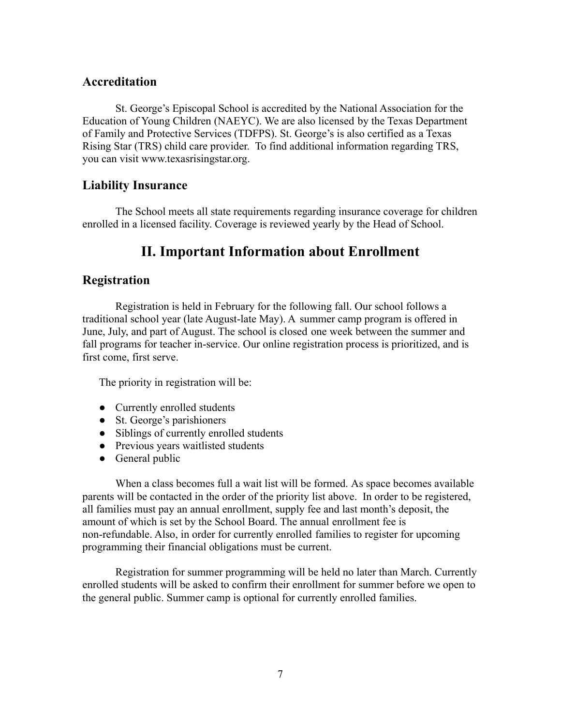# <span id="page-6-0"></span>**Accreditation**

St. George's Episcopal School is accredited by the National Association for the Education of Young Children (NAEYC). We are also licensed by the Texas Department of Family and Protective Services (TDFPS). St. George's is also certified as a Texas Rising Star (TRS) child care provider. To find additional information regarding TRS, you can visit www.texasrisingstar.org.

# <span id="page-6-1"></span>**Liability Insurance**

The School meets all state requirements regarding insurance coverage for children enrolled in a licensed facility. Coverage is reviewed yearly by the Head of School.

# **II. Important Information about Enrollment**

# <span id="page-6-3"></span><span id="page-6-2"></span>**Registration**

Registration is held in February for the following fall. Our school follows a traditional school year (late August-late May). A summer camp program is offered in June, July, and part of August. The school is closed one week between the summer and fall programs for teacher in-service. Our online registration process is prioritized, and is first come, first serve.

The priority in registration will be:

- Currently enrolled students
- St. George's parishioners
- Siblings of currently enrolled students
- Previous years waitlisted students
- General public

When a class becomes full a wait list will be formed. As space becomes available parents will be contacted in the order of the priority list above. In order to be registered, all families must pay an annual enrollment, supply fee and last month's deposit, the amount of which is set by the School Board. The annual enrollment fee is non-refundable. Also, in order for currently enrolled families to register for upcoming programming their financial obligations must be current.

Registration for summer programming will be held no later than March. Currently enrolled students will be asked to confirm their enrollment for summer before we open to the general public. Summer camp is optional for currently enrolled families.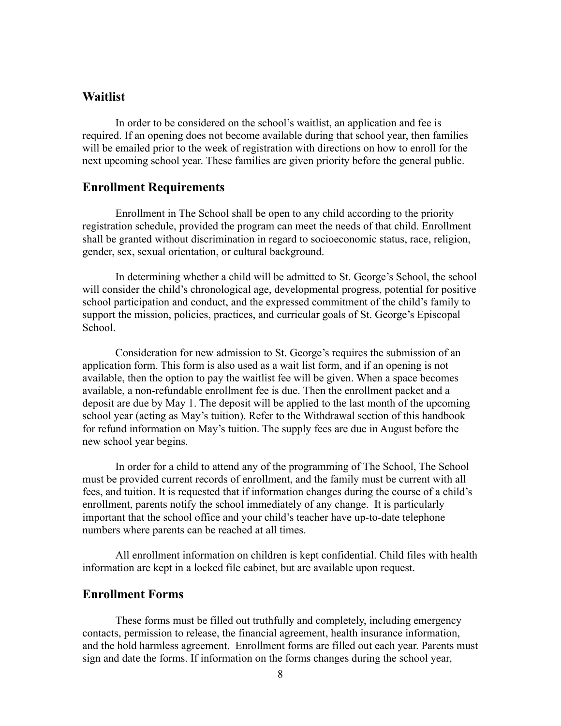## <span id="page-7-0"></span>**Waitlist**

In order to be considered on the school's waitlist, an application and fee is required. If an opening does not become available during that school year, then families will be emailed prior to the week of registration with directions on how to enroll for the next upcoming school year. These families are given priority before the general public.

#### <span id="page-7-1"></span>**Enrollment Requirements**

Enrollment in The School shall be open to any child according to the priority registration schedule, provided the program can meet the needs of that child. Enrollment shall be granted without discrimination in regard to socioeconomic status, race, religion, gender, sex, sexual orientation, or cultural background.

In determining whether a child will be admitted to St. George's School, the school will consider the child's chronological age, developmental progress, potential for positive school participation and conduct, and the expressed commitment of the child's family to support the mission, policies, practices, and curricular goals of St. George's Episcopal School.

Consideration for new admission to St. George's requires the submission of an application form. This form is also used as a wait list form, and if an opening is not available, then the option to pay the waitlist fee will be given. When a space becomes available, a non-refundable enrollment fee is due. Then the enrollment packet and a deposit are due by May 1. The deposit will be applied to the last month of the upcoming school year (acting as May's tuition). Refer to the Withdrawal section of this handbook for refund information on May's tuition. The supply fees are due in August before the new school year begins.

In order for a child to attend any of the programming of The School, The School must be provided current records of enrollment, and the family must be current with all fees, and tuition. It is requested that if information changes during the course of a child's enrollment, parents notify the school immediately of any change. It is particularly important that the school office and your child's teacher have up-to-date telephone numbers where parents can be reached at all times.

All enrollment information on children is kept confidential. Child files with health information are kept in a locked file cabinet, but are available upon request.

## <span id="page-7-2"></span>**Enrollment Forms**

These forms must be filled out truthfully and completely, including emergency contacts, permission to release, the financial agreement, health insurance information, and the hold harmless agreement. Enrollment forms are filled out each year. Parents must sign and date the forms. If information on the forms changes during the school year,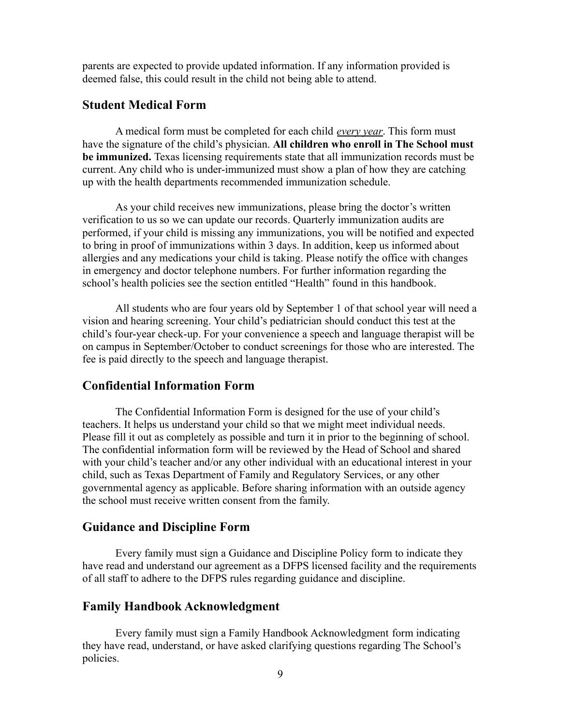parents are expected to provide updated information. If any information provided is deemed false, this could result in the child not being able to attend.

# <span id="page-8-0"></span>**Student Medical Form**

A medical form must be completed for each child *every year*. This form must have the signature of the child's physician. **All children who enroll in The School must be immunized.** Texas licensing requirements state that all immunization records must be current. Any child who is under-immunized must show a plan of how they are catching up with the health departments recommended immunization schedule.

As your child receives new immunizations, please bring the doctor's written verification to us so we can update our records. Quarterly immunization audits are performed, if your child is missing any immunizations, you will be notified and expected to bring in proof of immunizations within 3 days. In addition, keep us informed about allergies and any medications your child is taking. Please notify the office with changes in emergency and doctor telephone numbers. For further information regarding the school's health policies see the section entitled "Health" found in this handbook.

All students who are four years old by September 1 of that school year will need a vision and hearing screening. Your child's pediatrician should conduct this test at the child's four-year check-up. For your convenience a speech and language therapist will be on campus in September/October to conduct screenings for those who are interested. The fee is paid directly to the speech and language therapist.

# <span id="page-8-1"></span>**Confidential Information Form**

The Confidential Information Form is designed for the use of your child's teachers. It helps us understand your child so that we might meet individual needs. Please fill it out as completely as possible and turn it in prior to the beginning of school. The confidential information form will be reviewed by the Head of School and shared with your child's teacher and/or any other individual with an educational interest in your child, such as Texas Department of Family and Regulatory Services, or any other governmental agency as applicable. Before sharing information with an outside agency the school must receive written consent from the family.

#### <span id="page-8-2"></span>**Guidance and Discipline Form**

Every family must sign a Guidance and Discipline Policy form to indicate they have read and understand our agreement as a DFPS licensed facility and the requirements of all staff to adhere to the DFPS rules regarding guidance and discipline.

# <span id="page-8-3"></span>**Family Handbook Acknowledgment**

Every family must sign a Family Handbook Acknowledgment form indicating they have read, understand, or have asked clarifying questions regarding The School's policies.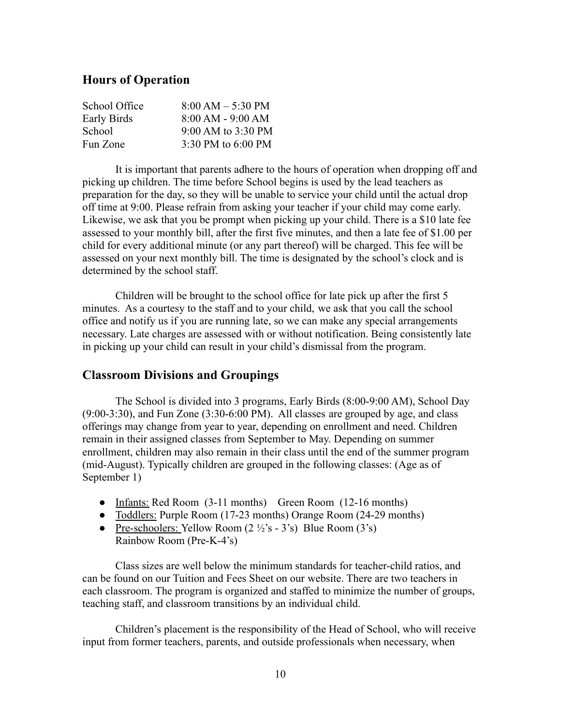# <span id="page-9-0"></span>**Hours of Operation**

| School Office | $8:00 AM - 5:30 PM$ |
|---------------|---------------------|
| Early Birds   | $8:00 AM - 9:00 AM$ |
| School        | 9:00 AM to 3:30 PM  |
| Fun Zone      | 3:30 PM to 6:00 PM  |

It is important that parents adhere to the hours of operation when dropping off and picking up children. The time before School begins is used by the lead teachers as preparation for the day, so they will be unable to service your child until the actual drop off time at 9:00. Please refrain from asking your teacher if your child may come early. Likewise, we ask that you be prompt when picking up your child. There is a \$10 late fee assessed to your monthly bill, after the first five minutes, and then a late fee of \$1.00 per child for every additional minute (or any part thereof) will be charged. This fee will be assessed on your next monthly bill. The time is designated by the school's clock and is determined by the school staff.

Children will be brought to the school office for late pick up after the first 5 minutes. As a courtesy to the staff and to your child, we ask that you call the school office and notify us if you are running late, so we can make any special arrangements necessary. Late charges are assessed with or without notification. Being consistently late in picking up your child can result in your child's dismissal from the program.

### <span id="page-9-1"></span>**Classroom Divisions and Groupings**

The School is divided into 3 programs, Early Birds (8:00-9:00 AM), School Day (9:00-3:30), and Fun Zone (3:30-6:00 PM). All classes are grouped by age, and class offerings may change from year to year, depending on enrollment and need. Children remain in their assigned classes from September to May. Depending on summer enrollment, children may also remain in their class until the end of the summer program (mid-August). Typically children are grouped in the following classes: (Age as of September 1)

- Infants: Red Room (3-11 months) Green Room (12-16 months)
- Toddlers: Purple Room (17-23 months) Orange Room (24-29 months)
- Pre-schoolers: Yellow Room  $(2 \frac{1}{2} s 3 s)$  Blue Room  $(3 \dot{s})$ Rainbow Room (Pre-K-4's)

Class sizes are well below the minimum standards for teacher-child ratios, and can be found on our Tuition and Fees Sheet on our website. There are two teachers in each classroom. The program is organized and staffed to minimize the number of groups, teaching staff, and classroom transitions by an individual child.

Children's placement is the responsibility of the Head of School, who will receive input from former teachers, parents, and outside professionals when necessary, when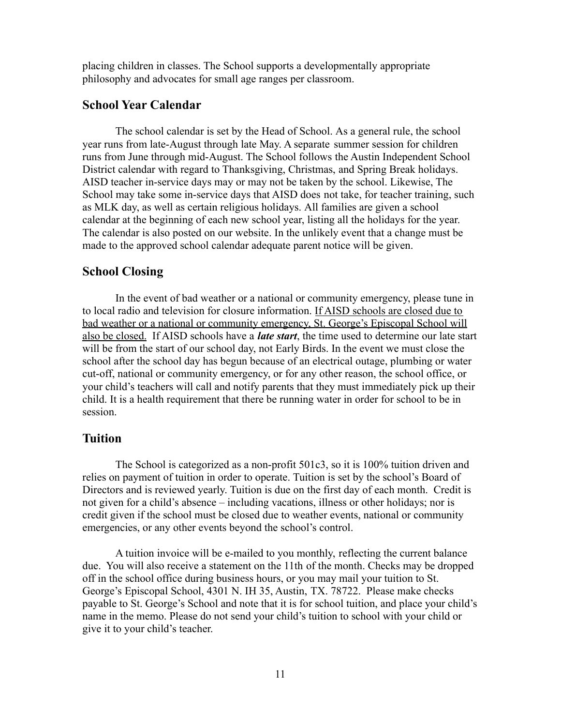placing children in classes. The School supports a developmentally appropriate philosophy and advocates for small age ranges per classroom.

# <span id="page-10-0"></span>**School Year Calendar**

The school calendar is set by the Head of School. As a general rule, the school year runs from late-August through late May. A separate summer session for children runs from June through mid-August. The School follows the Austin Independent School District calendar with regard to Thanksgiving, Christmas, and Spring Break holidays. AISD teacher in-service days may or may not be taken by the school. Likewise, The School may take some in-service days that AISD does not take, for teacher training, such as MLK day, as well as certain religious holidays. All families are given a school calendar at the beginning of each new school year, listing all the holidays for the year. The calendar is also posted on our website. In the unlikely event that a change must be made to the approved school calendar adequate parent notice will be given.

# <span id="page-10-1"></span>**School Closing**

In the event of bad weather or a national or community emergency, please tune in to local radio and television for closure information. If AISD schools are closed due to bad weather or a national or community emergency, St. George's Episcopal School will also be closed. If AISD schools have a *late start*, the time used to determine our late start will be from the start of our school day, not Early Birds. In the event we must close the school after the school day has begun because of an electrical outage, plumbing or water cut-off, national or community emergency, or for any other reason, the school office, or your child's teachers will call and notify parents that they must immediately pick up their child. It is a health requirement that there be running water in order for school to be in session.

# <span id="page-10-2"></span>**Tuition**

The School is categorized as a non-profit 501c3, so it is 100% tuition driven and relies on payment of tuition in order to operate. Tuition is set by the school's Board of Directors and is reviewed yearly. Tuition is due on the first day of each month. Credit is not given for a child's absence – including vacations, illness or other holidays; nor is credit given if the school must be closed due to weather events, national or community emergencies, or any other events beyond the school's control.

A tuition invoice will be e-mailed to you monthly, reflecting the current balance due. You will also receive a statement on the 11th of the month. Checks may be dropped off in the school office during business hours, or you may mail your tuition to St. George's Episcopal School, 4301 N. IH 35, Austin, TX. 78722. Please make checks payable to St. George's School and note that it is for school tuition, and place your child's name in the memo. Please do not send your child's tuition to school with your child or give it to your child's teacher.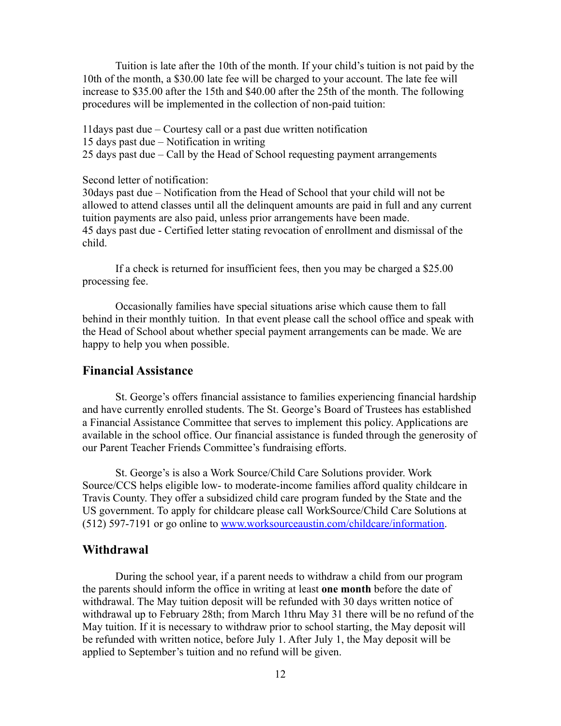Tuition is late after the 10th of the month. If your child's tuition is not paid by the 10th of the month, a \$30.00 late fee will be charged to your account. The late fee will increase to \$35.00 after the 15th and \$40.00 after the 25th of the month. The following procedures will be implemented in the collection of non-paid tuition:

11days past due – Courtesy call or a past due written notification

15 days past due – Notification in writing

25 days past due – Call by the Head of School requesting payment arrangements

Second letter of notification:

30days past due – Notification from the Head of School that your child will not be allowed to attend classes until all the delinquent amounts are paid in full and any current tuition payments are also paid, unless prior arrangements have been made. 45 days past due - Certified letter stating revocation of enrollment and dismissal of the child.

If a check is returned for insufficient fees, then you may be charged a \$25.00 processing fee.

Occasionally families have special situations arise which cause them to fall behind in their monthly tuition. In that event please call the school office and speak with the Head of School about whether special payment arrangements can be made. We are happy to help you when possible.

# <span id="page-11-0"></span>**Financial Assistance**

St. George's offers financial assistance to families experiencing financial hardship and have currently enrolled students. The St. George's Board of Trustees has established a Financial Assistance Committee that serves to implement this policy. Applications are available in the school office. Our financial assistance is funded through the generosity of our Parent Teacher Friends Committee's fundraising efforts.

St. George's is also a Work Source/Child Care Solutions provider. Work Source/CCS helps eligible low- to moderate-income families afford quality childcare in Travis County. They offer a subsidized child care program funded by the State and the US government. To apply for childcare please call WorkSource/Child Care Solutions at (512) 597-7191 or go online to [www.worksourceaustin.com/childcare/information](http://www.worksourceaustin.com/childcare/information).

## <span id="page-11-1"></span>**Withdrawal**

During the school year, if a parent needs to withdraw a child from our program the parents should inform the office in writing at least **one month** before the date of withdrawal. The May tuition deposit will be refunded with 30 days written notice of withdrawal up to February 28th; from March 1thru May 31 there will be no refund of the May tuition. If it is necessary to withdraw prior to school starting, the May deposit will be refunded with written notice, before July 1. After July 1, the May deposit will be applied to September's tuition and no refund will be given.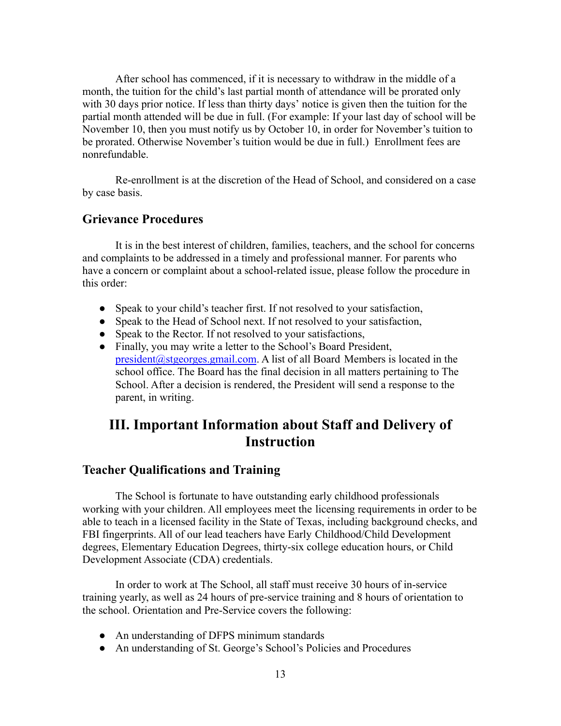After school has commenced, if it is necessary to withdraw in the middle of a month, the tuition for the child's last partial month of attendance will be prorated only with 30 days prior notice. If less than thirty days' notice is given then the tuition for the partial month attended will be due in full. (For example: If your last day of school will be November 10, then you must notify us by October 10, in order for November's tuition to be prorated. Otherwise November's tuition would be due in full.) Enrollment fees are nonrefundable.

Re-enrollment is at the discretion of the Head of School, and considered on a case by case basis.

# <span id="page-12-0"></span>**Grievance Procedures**

It is in the best interest of children, families, teachers, and the school for concerns and complaints to be addressed in a timely and professional manner. For parents who have a concern or complaint about a school-related issue, please follow the procedure in this order:

- Speak to your child's teacher first. If not resolved to your satisfaction,
- Speak to the Head of School next. If not resolved to your satisfaction,
- Speak to the Rector. If not resolved to your satisfactions,
- Finally, you may write a letter to the School's Board President, [president@stgeorges.gmail.com](mailto:president@stgeorges.gmail.com). A list of all Board Members is located in the school office. The Board has the final decision in all matters pertaining to The School. After a decision is rendered, the President will send a response to the parent, in writing.

# <span id="page-12-1"></span>**III. Important Information about Staff and Delivery of Instruction**

# <span id="page-12-2"></span>**Teacher Qualifications and Training**

The School is fortunate to have outstanding early childhood professionals working with your children. All employees meet the licensing requirements in order to be able to teach in a licensed facility in the State of Texas, including background checks, and FBI fingerprints. All of our lead teachers have Early Childhood/Child Development degrees, Elementary Education Degrees, thirty-six college education hours, or Child Development Associate (CDA) credentials.

In order to work at The School, all staff must receive 30 hours of in-service training yearly, as well as 24 hours of pre-service training and 8 hours of orientation to the school. Orientation and Pre-Service covers the following:

- An understanding of DFPS minimum standards
- An understanding of St. George's School's Policies and Procedures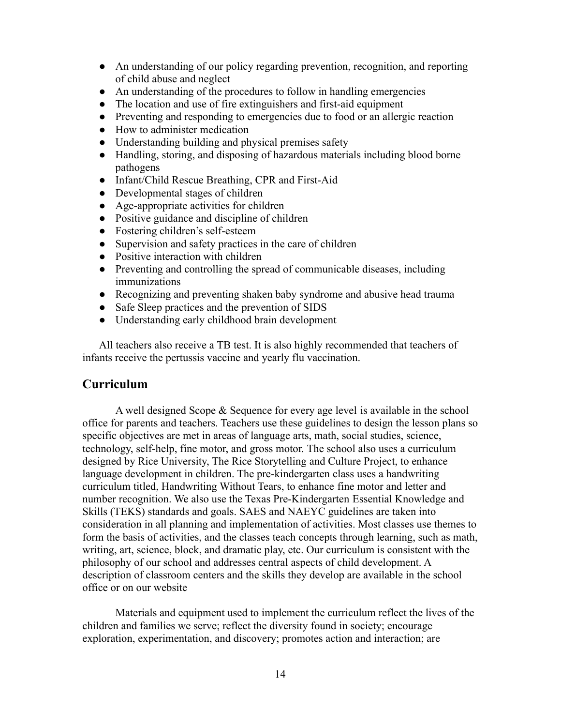- An understanding of our policy regarding prevention, recognition, and reporting of child abuse and neglect
- An understanding of the procedures to follow in handling emergencies
- The location and use of fire extinguishers and first-aid equipment
- Preventing and responding to emergencies due to food or an allergic reaction
- How to administer medication
- Understanding building and physical premises safety
- Handling, storing, and disposing of hazardous materials including blood borne pathogens
- Infant/Child Rescue Breathing, CPR and First-Aid
- Developmental stages of children
- Age-appropriate activities for children
- Positive guidance and discipline of children
- Fostering children's self-esteem
- Supervision and safety practices in the care of children
- Positive interaction with children
- Preventing and controlling the spread of communicable diseases, including immunizations
- Recognizing and preventing shaken baby syndrome and abusive head trauma
- Safe Sleep practices and the prevention of SIDS
- Understanding early childhood brain development

All teachers also receive a TB test. It is also highly recommended that teachers of infants receive the pertussis vaccine and yearly flu vaccination.

# <span id="page-13-0"></span>**Curriculum**

A well designed Scope & Sequence for every age level is available in the school office for parents and teachers. Teachers use these guidelines to design the lesson plans so specific objectives are met in areas of language arts, math, social studies, science, technology, self-help, fine motor, and gross motor. The school also uses a curriculum designed by Rice University, The Rice Storytelling and Culture Project, to enhance language development in children. The pre-kindergarten class uses a handwriting curriculum titled, Handwriting Without Tears, to enhance fine motor and letter and number recognition. We also use the Texas Pre-Kindergarten Essential Knowledge and Skills (TEKS) standards and goals. SAES and NAEYC guidelines are taken into consideration in all planning and implementation of activities. Most classes use themes to form the basis of activities, and the classes teach concepts through learning, such as math, writing, art, science, block, and dramatic play, etc. Our curriculum is consistent with the philosophy of our school and addresses central aspects of child development. A description of classroom centers and the skills they develop are available in the school office or on our website

Materials and equipment used to implement the curriculum reflect the lives of the children and families we serve; reflect the diversity found in society; encourage exploration, experimentation, and discovery; promotes action and interaction; are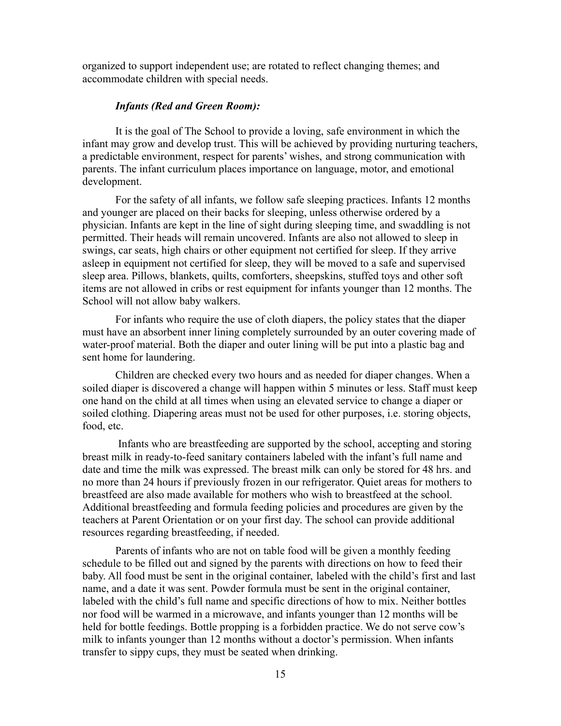organized to support independent use; are rotated to reflect changing themes; and accommodate children with special needs.

#### *Infants (Red and Green Room):*

<span id="page-14-0"></span>It is the goal of The School to provide a loving, safe environment in which the infant may grow and develop trust. This will be achieved by providing nurturing teachers, a predictable environment, respect for parents' wishes, and strong communication with parents. The infant curriculum places importance on language, motor, and emotional development.

For the safety of all infants, we follow safe sleeping practices. Infants 12 months and younger are placed on their backs for sleeping, unless otherwise ordered by a physician. Infants are kept in the line of sight during sleeping time, and swaddling is not permitted. Their heads will remain uncovered. Infants are also not allowed to sleep in swings, car seats, high chairs or other equipment not certified for sleep. If they arrive asleep in equipment not certified for sleep, they will be moved to a safe and supervised sleep area. Pillows, blankets, quilts, comforters, sheepskins, stuffed toys and other soft items are not allowed in cribs or rest equipment for infants younger than 12 months. The School will not allow baby walkers.

For infants who require the use of cloth diapers, the policy states that the diaper must have an absorbent inner lining completely surrounded by an outer covering made of water-proof material. Both the diaper and outer lining will be put into a plastic bag and sent home for laundering.

Children are checked every two hours and as needed for diaper changes. When a soiled diaper is discovered a change will happen within 5 minutes or less. Staff must keep one hand on the child at all times when using an elevated service to change a diaper or soiled clothing. Diapering areas must not be used for other purposes, i.e. storing objects, food, etc.

Infants who are breastfeeding are supported by the school, accepting and storing breast milk in ready-to-feed sanitary containers labeled with the infant's full name and date and time the milk was expressed. The breast milk can only be stored for 48 hrs. and no more than 24 hours if previously frozen in our refrigerator. Quiet areas for mothers to breastfeed are also made available for mothers who wish to breastfeed at the school. Additional breastfeeding and formula feeding policies and procedures are given by the teachers at Parent Orientation or on your first day. The school can provide additional resources regarding breastfeeding, if needed.

Parents of infants who are not on table food will be given a monthly feeding schedule to be filled out and signed by the parents with directions on how to feed their baby. All food must be sent in the original container, labeled with the child's first and last name, and a date it was sent. Powder formula must be sent in the original container, labeled with the child's full name and specific directions of how to mix. Neither bottles nor food will be warmed in a microwave, and infants younger than 12 months will be held for bottle feedings. Bottle propping is a forbidden practice. We do not serve cow's milk to infants younger than 12 months without a doctor's permission. When infants transfer to sippy cups, they must be seated when drinking.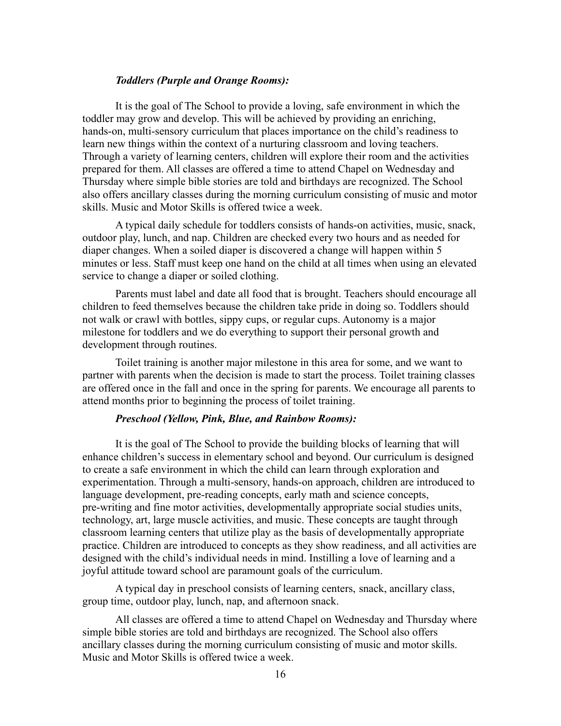#### *Toddlers (Purple and Orange Rooms):*

<span id="page-15-0"></span>It is the goal of The School to provide a loving, safe environment in which the toddler may grow and develop. This will be achieved by providing an enriching, hands-on, multi-sensory curriculum that places importance on the child's readiness to learn new things within the context of a nurturing classroom and loving teachers. Through a variety of learning centers, children will explore their room and the activities prepared for them. All classes are offered a time to attend Chapel on Wednesday and Thursday where simple bible stories are told and birthdays are recognized. The School also offers ancillary classes during the morning curriculum consisting of music and motor skills. Music and Motor Skills is offered twice a week.

A typical daily schedule for toddlers consists of hands-on activities, music, snack, outdoor play, lunch, and nap. Children are checked every two hours and as needed for diaper changes. When a soiled diaper is discovered a change will happen within 5 minutes or less. Staff must keep one hand on the child at all times when using an elevated service to change a diaper or soiled clothing.

Parents must label and date all food that is brought. Teachers should encourage all children to feed themselves because the children take pride in doing so. Toddlers should not walk or crawl with bottles, sippy cups, or regular cups. Autonomy is a major milestone for toddlers and we do everything to support their personal growth and development through routines.

Toilet training is another major milestone in this area for some, and we want to partner with parents when the decision is made to start the process. Toilet training classes are offered once in the fall and once in the spring for parents. We encourage all parents to attend months prior to beginning the process of toilet training.

#### *Preschool (Yellow, Pink, Blue, and Rainbow Rooms):*

<span id="page-15-1"></span>It is the goal of The School to provide the building blocks of learning that will enhance children's success in elementary school and beyond. Our curriculum is designed to create a safe environment in which the child can learn through exploration and experimentation. Through a multi-sensory, hands-on approach, children are introduced to language development, pre-reading concepts, early math and science concepts, pre-writing and fine motor activities, developmentally appropriate social studies units, technology, art, large muscle activities, and music. These concepts are taught through classroom learning centers that utilize play as the basis of developmentally appropriate practice. Children are introduced to concepts as they show readiness, and all activities are designed with the child's individual needs in mind. Instilling a love of learning and a joyful attitude toward school are paramount goals of the curriculum.

A typical day in preschool consists of learning centers, snack, ancillary class, group time, outdoor play, lunch, nap, and afternoon snack.

All classes are offered a time to attend Chapel on Wednesday and Thursday where simple bible stories are told and birthdays are recognized. The School also offers ancillary classes during the morning curriculum consisting of music and motor skills. Music and Motor Skills is offered twice a week.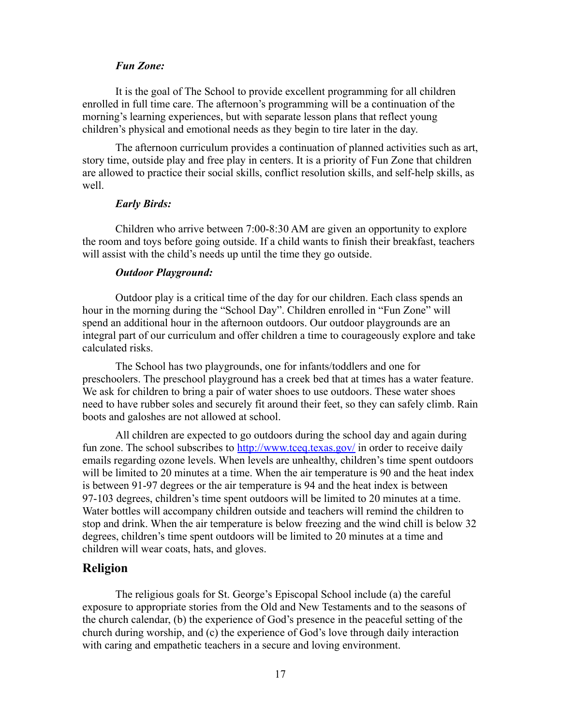#### *Fun Zone:*

<span id="page-16-0"></span>It is the goal of The School to provide excellent programming for all children enrolled in full time care. The afternoon's programming will be a continuation of the morning's learning experiences, but with separate lesson plans that reflect young children's physical and emotional needs as they begin to tire later in the day.

The afternoon curriculum provides a continuation of planned activities such as art, story time, outside play and free play in centers. It is a priority of Fun Zone that children are allowed to practice their social skills, conflict resolution skills, and self-help skills, as well.

#### *Early Birds:*

<span id="page-16-1"></span>Children who arrive between 7:00-8:30 AM are given an opportunity to explore the room and toys before going outside. If a child wants to finish their breakfast, teachers will assist with the child's needs up until the time they go outside.

#### *Outdoor Playground:*

<span id="page-16-2"></span>Outdoor play is a critical time of the day for our children. Each class spends an hour in the morning during the "School Day". Children enrolled in "Fun Zone" will spend an additional hour in the afternoon outdoors. Our outdoor playgrounds are an integral part of our curriculum and offer children a time to courageously explore and take calculated risks.

The School has two playgrounds, one for infants/toddlers and one for preschoolers. The preschool playground has a creek bed that at times has a water feature. We ask for children to bring a pair of water shoes to use outdoors. These water shoes need to have rubber soles and securely fit around their feet, so they can safely climb. Rain boots and galoshes are not allowed at school.

All children are expected to go outdoors during the school day and again during fun zone. The school subscribes to <http://www.tceq.texas.gov/> in order to receive daily emails regarding ozone levels. When levels are unhealthy, children's time spent outdoors will be limited to 20 minutes at a time. When the air temperature is 90 and the heat index is between 91-97 degrees or the air temperature is 94 and the heat index is between 97-103 degrees, children's time spent outdoors will be limited to 20 minutes at a time. Water bottles will accompany children outside and teachers will remind the children to stop and drink. When the air temperature is below freezing and the wind chill is below 32 degrees, children's time spent outdoors will be limited to 20 minutes at a time and children will wear coats, hats, and gloves.

### <span id="page-16-3"></span>**Religion**

The religious goals for St. George's Episcopal School include (a) the careful exposure to appropriate stories from the Old and New Testaments and to the seasons of the church calendar, (b) the experience of God's presence in the peaceful setting of the church during worship, and (c) the experience of God's love through daily interaction with caring and empathetic teachers in a secure and loving environment.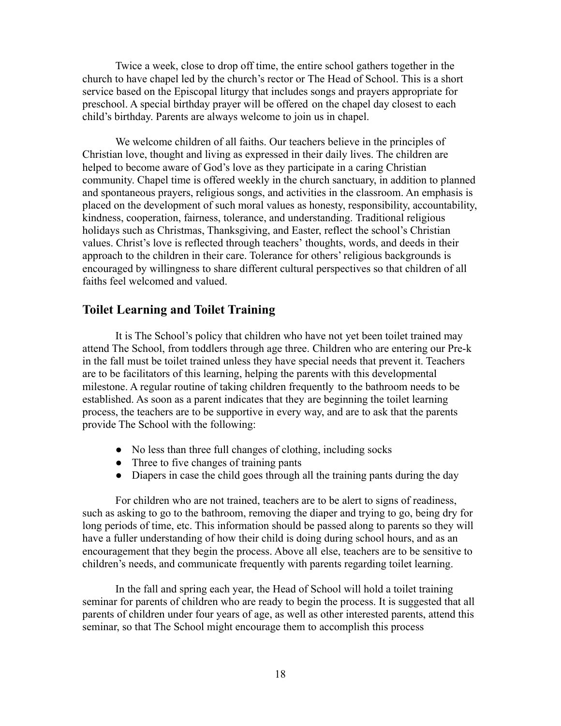Twice a week, close to drop off time, the entire school gathers together in the church to have chapel led by the church's rector or The Head of School. This is a short service based on the Episcopal liturgy that includes songs and prayers appropriate for preschool. A special birthday prayer will be offered on the chapel day closest to each child's birthday. Parents are always welcome to join us in chapel.

We welcome children of all faiths. Our teachers believe in the principles of Christian love, thought and living as expressed in their daily lives. The children are helped to become aware of God's love as they participate in a caring Christian community. Chapel time is offered weekly in the church sanctuary, in addition to planned and spontaneous prayers, religious songs, and activities in the classroom. An emphasis is placed on the development of such moral values as honesty, responsibility, accountability, kindness, cooperation, fairness, tolerance, and understanding. Traditional religious holidays such as Christmas, Thanksgiving, and Easter, reflect the school's Christian values. Christ's love is reflected through teachers' thoughts, words, and deeds in their approach to the children in their care. Tolerance for others' religious backgrounds is encouraged by willingness to share different cultural perspectives so that children of all faiths feel welcomed and valued.

# <span id="page-17-0"></span>**Toilet Learning and Toilet Training**

It is The School's policy that children who have not yet been toilet trained may attend The School, from toddlers through age three. Children who are entering our Pre-k in the fall must be toilet trained unless they have special needs that prevent it. Teachers are to be facilitators of this learning, helping the parents with this developmental milestone. A regular routine of taking children frequently to the bathroom needs to be established. As soon as a parent indicates that they are beginning the toilet learning process, the teachers are to be supportive in every way, and are to ask that the parents provide The School with the following:

- No less than three full changes of clothing, including socks
- Three to five changes of training pants
- Diapers in case the child goes through all the training pants during the day

For children who are not trained, teachers are to be alert to signs of readiness, such as asking to go to the bathroom, removing the diaper and trying to go, being dry for long periods of time, etc. This information should be passed along to parents so they will have a fuller understanding of how their child is doing during school hours, and as an encouragement that they begin the process. Above all else, teachers are to be sensitive to children's needs, and communicate frequently with parents regarding toilet learning.

In the fall and spring each year, the Head of School will hold a toilet training seminar for parents of children who are ready to begin the process. It is suggested that all parents of children under four years of age, as well as other interested parents, attend this seminar, so that The School might encourage them to accomplish this process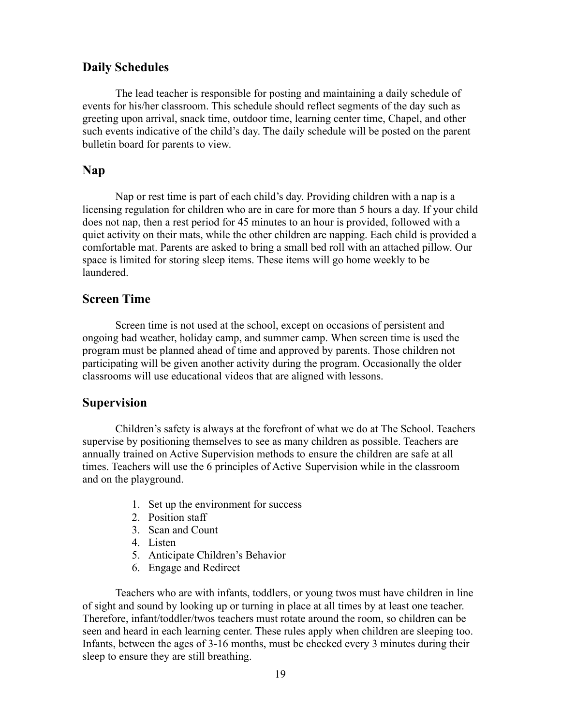# <span id="page-18-0"></span>**Daily Schedules**

The lead teacher is responsible for posting and maintaining a daily schedule of events for his/her classroom. This schedule should reflect segments of the day such as greeting upon arrival, snack time, outdoor time, learning center time, Chapel, and other such events indicative of the child's day. The daily schedule will be posted on the parent bulletin board for parents to view.

## <span id="page-18-1"></span>**Nap**

Nap or rest time is part of each child's day. Providing children with a nap is a licensing regulation for children who are in care for more than 5 hours a day. If your child does not nap, then a rest period for 45 minutes to an hour is provided, followed with a quiet activity on their mats, while the other children are napping. Each child is provided a comfortable mat. Parents are asked to bring a small bed roll with an attached pillow. Our space is limited for storing sleep items. These items will go home weekly to be laundered.

# <span id="page-18-2"></span>**Screen Time**

Screen time is not used at the school, except on occasions of persistent and ongoing bad weather, holiday camp, and summer camp. When screen time is used the program must be planned ahead of time and approved by parents. Those children not participating will be given another activity during the program. Occasionally the older classrooms will use educational videos that are aligned with lessons.

# <span id="page-18-3"></span>**Supervision**

Children's safety is always at the forefront of what we do at The School. Teachers supervise by positioning themselves to see as many children as possible. Teachers are annually trained on Active Supervision methods to ensure the children are safe at all times. Teachers will use the 6 principles of Active Supervision while in the classroom and on the playground.

- 1. Set up the environment for success
- 2. Position staff
- 3. Scan and Count
- 4. Listen
- 5. Anticipate Children's Behavior
- 6. Engage and Redirect

Teachers who are with infants, toddlers, or young twos must have children in line of sight and sound by looking up or turning in place at all times by at least one teacher. Therefore, infant/toddler/twos teachers must rotate around the room, so children can be seen and heard in each learning center. These rules apply when children are sleeping too. Infants, between the ages of 3-16 months, must be checked every 3 minutes during their sleep to ensure they are still breathing.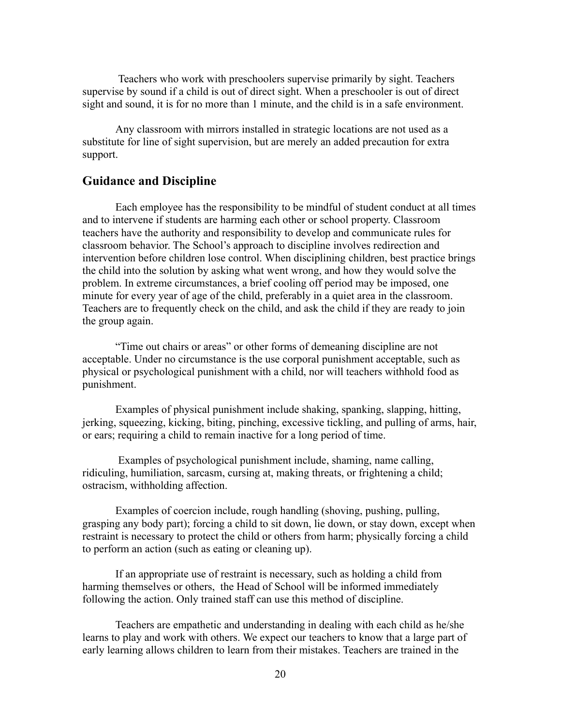Teachers who work with preschoolers supervise primarily by sight. Teachers supervise by sound if a child is out of direct sight. When a preschooler is out of direct sight and sound, it is for no more than 1 minute, and the child is in a safe environment.

Any classroom with mirrors installed in strategic locations are not used as a substitute for line of sight supervision, but are merely an added precaution for extra support.

## <span id="page-19-0"></span>**Guidance and Discipline**

Each employee has the responsibility to be mindful of student conduct at all times and to intervene if students are harming each other or school property. Classroom teachers have the authority and responsibility to develop and communicate rules for classroom behavior. The School's approach to discipline involves redirection and intervention before children lose control. When disciplining children, best practice brings the child into the solution by asking what went wrong, and how they would solve the problem. In extreme circumstances, a brief cooling off period may be imposed, one minute for every year of age of the child, preferably in a quiet area in the classroom. Teachers are to frequently check on the child, and ask the child if they are ready to join the group again.

"Time out chairs or areas" or other forms of demeaning discipline are not acceptable. Under no circumstance is the use corporal punishment acceptable, such as physical or psychological punishment with a child, nor will teachers withhold food as punishment.

Examples of physical punishment include shaking, spanking, slapping, hitting, jerking, squeezing, kicking, biting, pinching, excessive tickling, and pulling of arms, hair, or ears; requiring a child to remain inactive for a long period of time.

Examples of psychological punishment include, shaming, name calling, ridiculing, humiliation, sarcasm, cursing at, making threats, or frightening a child; ostracism, withholding affection.

Examples of coercion include, rough handling (shoving, pushing, pulling, grasping any body part); forcing a child to sit down, lie down, or stay down, except when restraint is necessary to protect the child or others from harm; physically forcing a child to perform an action (such as eating or cleaning up).

If an appropriate use of restraint is necessary, such as holding a child from harming themselves or others, the Head of School will be informed immediately following the action. Only trained staff can use this method of discipline.

Teachers are empathetic and understanding in dealing with each child as he/she learns to play and work with others. We expect our teachers to know that a large part of early learning allows children to learn from their mistakes. Teachers are trained in the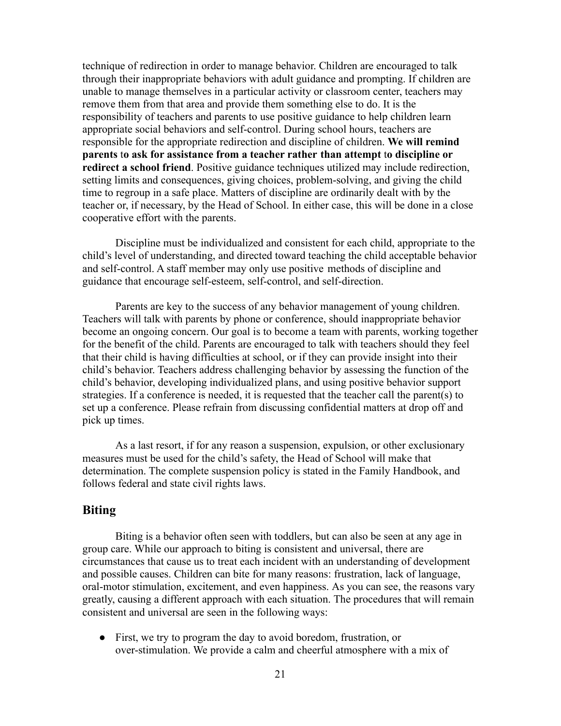technique of redirection in order to manage behavior. Children are encouraged to talk through their inappropriate behaviors with adult guidance and prompting. If children are unable to manage themselves in a particular activity or classroom center, teachers may remove them from that area and provide them something else to do. It is the responsibility of teachers and parents to use positive guidance to help children learn appropriate social behaviors and self-control. During school hours, teachers are responsible for the appropriate redirection and discipline of children. **We will remind parents** t**o ask for assistance from a teacher rather than attempt** t**o discipline or redirect a school friend**. Positive guidance techniques utilized may include redirection, setting limits and consequences, giving choices, problem-solving, and giving the child time to regroup in a safe place. Matters of discipline are ordinarily dealt with by the teacher or, if necessary, by the Head of School. In either case, this will be done in a close cooperative effort with the parents.

Discipline must be individualized and consistent for each child, appropriate to the child's level of understanding, and directed toward teaching the child acceptable behavior and self-control. A staff member may only use positive methods of discipline and guidance that encourage self-esteem, self-control, and self-direction.

Parents are key to the success of any behavior management of young children. Teachers will talk with parents by phone or conference, should inappropriate behavior become an ongoing concern. Our goal is to become a team with parents, working together for the benefit of the child. Parents are encouraged to talk with teachers should they feel that their child is having difficulties at school, or if they can provide insight into their child's behavior. Teachers address challenging behavior by assessing the function of the child's behavior, developing individualized plans, and using positive behavior support strategies. If a conference is needed, it is requested that the teacher call the parent(s) to set up a conference. Please refrain from discussing confidential matters at drop off and pick up times.

As a last resort, if for any reason a suspension, expulsion, or other exclusionary measures must be used for the child's safety, the Head of School will make that determination. The complete suspension policy is stated in the Family Handbook, and follows federal and state civil rights laws.

# <span id="page-20-0"></span>**Biting**

Biting is a behavior often seen with toddlers, but can also be seen at any age in group care. While our approach to biting is consistent and universal, there are circumstances that cause us to treat each incident with an understanding of development and possible causes. Children can bite for many reasons: frustration, lack of language, oral-motor stimulation, excitement, and even happiness. As you can see, the reasons vary greatly, causing a different approach with each situation. The procedures that will remain consistent and universal are seen in the following ways:

• First, we try to program the day to avoid boredom, frustration, or over-stimulation. We provide a calm and cheerful atmosphere with a mix of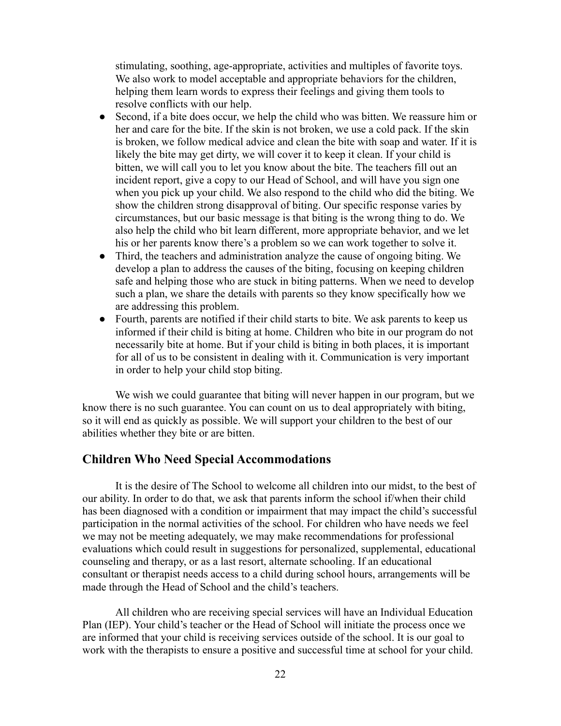stimulating, soothing, age-appropriate, activities and multiples of favorite toys. We also work to model acceptable and appropriate behaviors for the children, helping them learn words to express their feelings and giving them tools to resolve conflicts with our help.

- Second, if a bite does occur, we help the child who was bitten. We reassure him or her and care for the bite. If the skin is not broken, we use a cold pack. If the skin is broken, we follow medical advice and clean the bite with soap and water. If it is likely the bite may get dirty, we will cover it to keep it clean. If your child is bitten, we will call you to let you know about the bite. The teachers fill out an incident report, give a copy to our Head of School, and will have you sign one when you pick up your child. We also respond to the child who did the biting. We show the children strong disapproval of biting. Our specific response varies by circumstances, but our basic message is that biting is the wrong thing to do. We also help the child who bit learn different, more appropriate behavior, and we let his or her parents know there's a problem so we can work together to solve it.
- Third, the teachers and administration analyze the cause of ongoing biting. We develop a plan to address the causes of the biting, focusing on keeping children safe and helping those who are stuck in biting patterns. When we need to develop such a plan, we share the details with parents so they know specifically how we are addressing this problem.
- Fourth, parents are notified if their child starts to bite. We ask parents to keep us informed if their child is biting at home. Children who bite in our program do not necessarily bite at home. But if your child is biting in both places, it is important for all of us to be consistent in dealing with it. Communication is very important in order to help your child stop biting.

We wish we could guarantee that biting will never happen in our program, but we know there is no such guarantee. You can count on us to deal appropriately with biting, so it will end as quickly as possible. We will support your children to the best of our abilities whether they bite or are bitten.

# <span id="page-21-0"></span>**Children Who Need Special Accommodations**

It is the desire of The School to welcome all children into our midst, to the best of our ability. In order to do that, we ask that parents inform the school if/when their child has been diagnosed with a condition or impairment that may impact the child's successful participation in the normal activities of the school. For children who have needs we feel we may not be meeting adequately, we may make recommendations for professional evaluations which could result in suggestions for personalized, supplemental, educational counseling and therapy, or as a last resort, alternate schooling. If an educational consultant or therapist needs access to a child during school hours, arrangements will be made through the Head of School and the child's teachers.

All children who are receiving special services will have an Individual Education Plan (IEP). Your child's teacher or the Head of School will initiate the process once we are informed that your child is receiving services outside of the school. It is our goal to work with the therapists to ensure a positive and successful time at school for your child.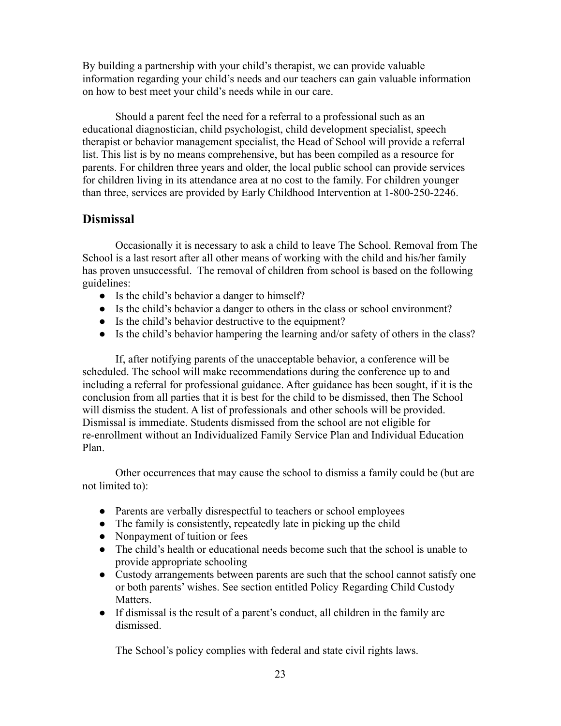By building a partnership with your child's therapist, we can provide valuable information regarding your child's needs and our teachers can gain valuable information on how to best meet your child's needs while in our care.

Should a parent feel the need for a referral to a professional such as an educational diagnostician, child psychologist, child development specialist, speech therapist or behavior management specialist, the Head of School will provide a referral list. This list is by no means comprehensive, but has been compiled as a resource for parents. For children three years and older, the local public school can provide services for children living in its attendance area at no cost to the family. For children younger than three, services are provided by Early Childhood Intervention at 1-800-250-2246.

# <span id="page-22-0"></span>**Dismissal**

Occasionally it is necessary to ask a child to leave The School. Removal from The School is a last resort after all other means of working with the child and his/her family has proven unsuccessful. The removal of children from school is based on the following guidelines:

- Is the child's behavior a danger to himself?
- Is the child's behavior a danger to others in the class or school environment?
- Is the child's behavior destructive to the equipment?
- Is the child's behavior hampering the learning and/or safety of others in the class?

If, after notifying parents of the unacceptable behavior, a conference will be scheduled. The school will make recommendations during the conference up to and including a referral for professional guidance. After guidance has been sought, if it is the conclusion from all parties that it is best for the child to be dismissed, then The School will dismiss the student. A list of professionals and other schools will be provided. Dismissal is immediate. Students dismissed from the school are not eligible for re-enrollment without an Individualized Family Service Plan and Individual Education Plan.

Other occurrences that may cause the school to dismiss a family could be (but are not limited to):

- Parents are verbally disrespectful to teachers or school employees
- The family is consistently, repeatedly late in picking up the child
- Nonpayment of tuition or fees
- The child's health or educational needs become such that the school is unable to provide appropriate schooling
- Custody arrangements between parents are such that the school cannot satisfy one or both parents' wishes. See section entitled Policy Regarding Child Custody Matters.
- If dismissal is the result of a parent's conduct, all children in the family are dismissed.

The School's policy complies with federal and state civil rights laws.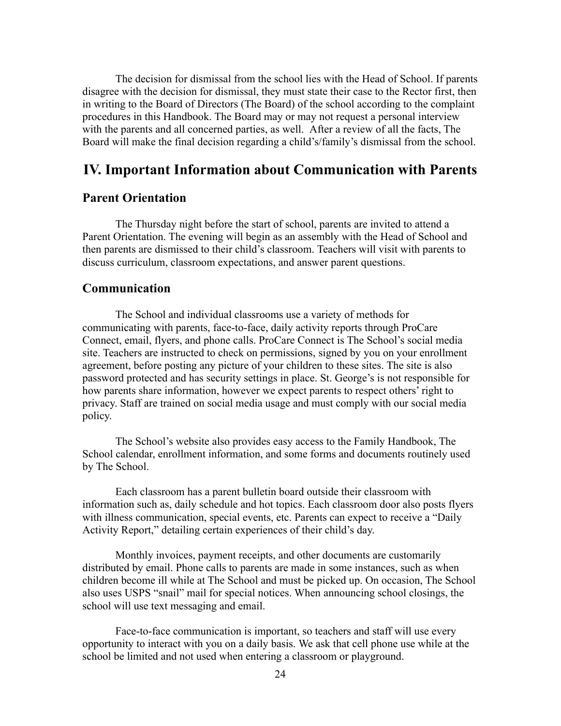The decision for dismissal from the school lies with the Head of School. If parents disagree with the decision for dismissal, they must state their case to the Rector first, then in writing to the Board of Directors (The Board) of the school according to the complaint procedures in this Handbook. The Board may or may not request a personal interview with the parents and all concerned parties, as well. After a review of all the facts, The Board will make the final decision regarding a child's/family's dismissal from the school.

# <span id="page-23-0"></span>**IV. Important Information about Communication with Parents**

# <span id="page-23-1"></span>**Parent Orientation**

The Thursday night before the start of school, parents are invited to attend a Parent Orientation. The evening will begin as an assembly with the Head of School and then parents are dismissed to their child's classroom. Teachers will visit with parents to discuss curriculum, classroom expectations, and answer parent questions.

#### <span id="page-23-2"></span>**Communication**

The School and individual classrooms use a variety of methods for communicating with parents, face-to-face, daily activity reports through ProCare Connect, email, flyers, and phone calls. ProCare Connect is The School's social media site. Teachers are instructed to check on permissions, signed by you on your enrollment agreement, before posting any picture of your children to these sites. The site is also password protected and has security settings in place. St. George's is not responsible for how parents share information, however we expect parents to respect others' right to privacy. Staff are trained on social media usage and must comply with our social media policy.

The School's website also provides easy access to the Family Handbook, The School calendar, enrollment information, and some forms and documents routinely used by The School.

Each classroom has a parent bulletin board outside their classroom with information such as, daily schedule and hot topics. Each classroom door also posts flyers with illness communication, special events, etc. Parents can expect to receive a "Daily" Activity Report," detailing certain experiences of their child's day.

Monthly invoices, payment receipts, and other documents are customarily distributed by email. Phone calls to parents are made in some instances, such as when children become ill while at The School and must be picked up. On occasion, The School also uses USPS "snail" mail for special notices. When announcing school closings, the school will use text messaging and email.

Face-to-face communication is important, so teachers and staff will use every opportunity to interact with you on a daily basis. We ask that cell phone use while at the school be limited and not used when entering a classroom or playground.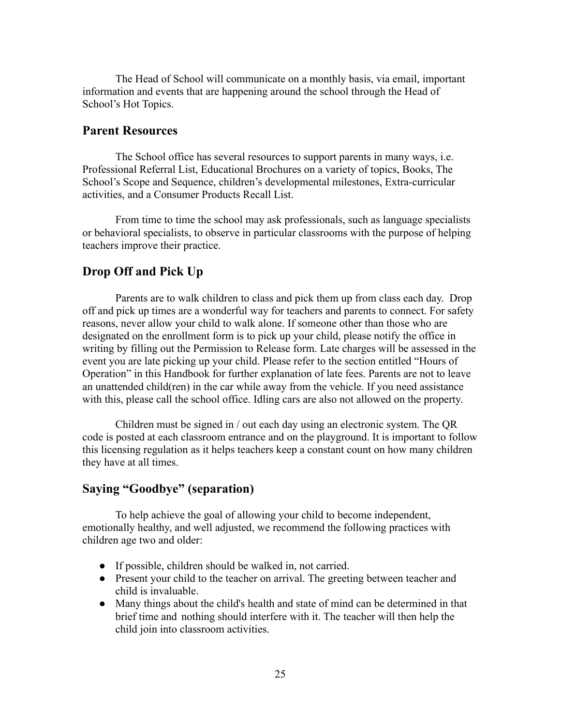The Head of School will communicate on a monthly basis, via email, important information and events that are happening around the school through the Head of School's Hot Topics.

## <span id="page-24-0"></span>**Parent Resources**

The School office has several resources to support parents in many ways, i.e. Professional Referral List, Educational Brochures on a variety of topics, Books, The School's Scope and Sequence, children's developmental milestones, Extra-curricular activities, and a Consumer Products Recall List.

From time to time the school may ask professionals, such as language specialists or behavioral specialists, to observe in particular classrooms with the purpose of helping teachers improve their practice.

# <span id="page-24-1"></span>**Drop Off and Pick Up**

Parents are to walk children to class and pick them up from class each day. Drop off and pick up times are a wonderful way for teachers and parents to connect. For safety reasons, never allow your child to walk alone. If someone other than those who are designated on the enrollment form is to pick up your child, please notify the office in writing by filling out the Permission to Release form. Late charges will be assessed in the event you are late picking up your child. Please refer to the section entitled "Hours of Operation" in this Handbook for further explanation of late fees. Parents are not to leave an unattended child(ren) in the car while away from the vehicle. If you need assistance with this, please call the school office. Idling cars are also not allowed on the property.

Children must be signed in / out each day using an electronic system. The QR code is posted at each classroom entrance and on the playground. It is important to follow this licensing regulation as it helps teachers keep a constant count on how many children they have at all times.

#### <span id="page-24-2"></span>**Saying "Goodbye" (separation)**

To help achieve the goal of allowing your child to become independent, emotionally healthy, and well adjusted, we recommend the following practices with children age two and older:

- If possible, children should be walked in, not carried.
- Present your child to the teacher on arrival. The greeting between teacher and child is invaluable.
- Many things about the child's health and state of mind can be determined in that brief time and nothing should interfere with it. The teacher will then help the child join into classroom activities.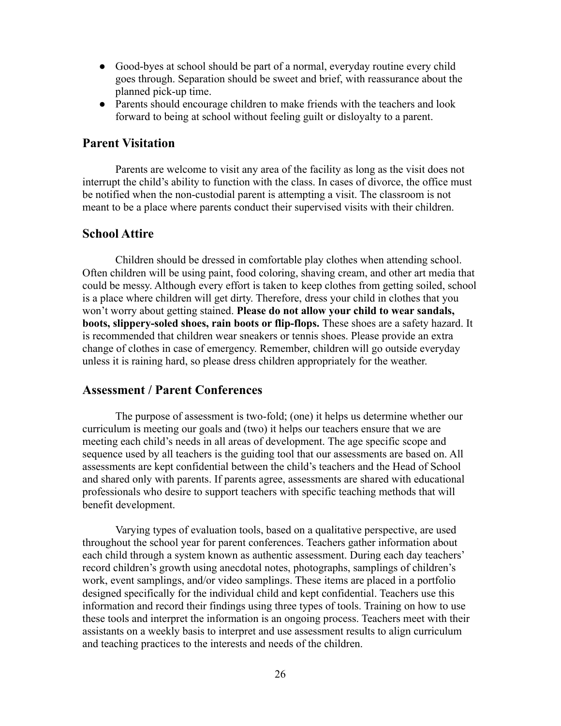- Good-byes at school should be part of a normal, everyday routine every child goes through. Separation should be sweet and brief, with reassurance about the planned pick-up time.
- Parents should encourage children to make friends with the teachers and look forward to being at school without feeling guilt or disloyalty to a parent.

# <span id="page-25-0"></span>**Parent Visitation**

Parents are welcome to visit any area of the facility as long as the visit does not interrupt the child's ability to function with the class. In cases of divorce, the office must be notified when the non-custodial parent is attempting a visit. The classroom is not meant to be a place where parents conduct their supervised visits with their children.

# <span id="page-25-1"></span>**School Attire**

Children should be dressed in comfortable play clothes when attending school. Often children will be using paint, food coloring, shaving cream, and other art media that could be messy. Although every effort is taken to keep clothes from getting soiled, school is a place where children will get dirty. Therefore, dress your child in clothes that you won't worry about getting stained. **Please do not allow your child to wear sandals, boots, slippery-soled shoes, rain boots or flip-flops.** These shoes are a safety hazard. It is recommended that children wear sneakers or tennis shoes. Please provide an extra change of clothes in case of emergency. Remember, children will go outside everyday unless it is raining hard, so please dress children appropriately for the weather.

# <span id="page-25-2"></span>**Assessment / Parent Conferences**

The purpose of assessment is two-fold; (one) it helps us determine whether our curriculum is meeting our goals and (two) it helps our teachers ensure that we are meeting each child's needs in all areas of development. The age specific scope and sequence used by all teachers is the guiding tool that our assessments are based on. All assessments are kept confidential between the child's teachers and the Head of School and shared only with parents. If parents agree, assessments are shared with educational professionals who desire to support teachers with specific teaching methods that will benefit development.

Varying types of evaluation tools, based on a qualitative perspective, are used throughout the school year for parent conferences. Teachers gather information about each child through a system known as authentic assessment. During each day teachers' record children's growth using anecdotal notes, photographs, samplings of children's work, event samplings, and/or video samplings. These items are placed in a portfolio designed specifically for the individual child and kept confidential. Teachers use this information and record their findings using three types of tools. Training on how to use these tools and interpret the information is an ongoing process. Teachers meet with their assistants on a weekly basis to interpret and use assessment results to align curriculum and teaching practices to the interests and needs of the children.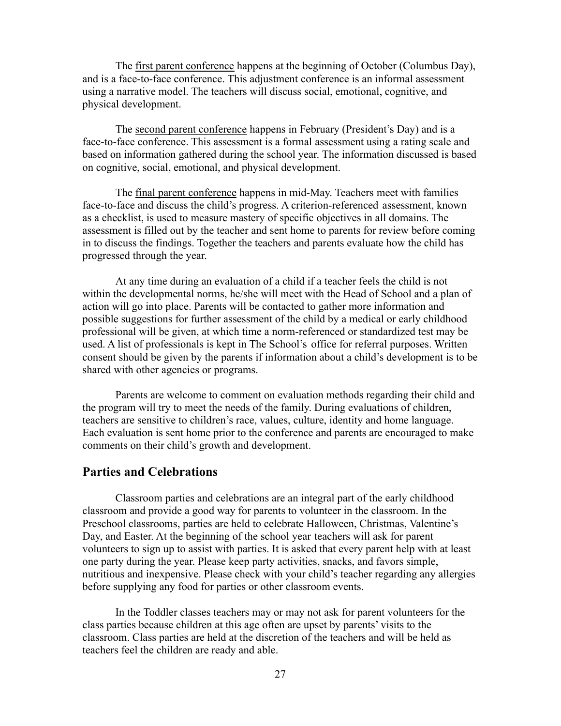The first parent conference happens at the beginning of October (Columbus Day), and is a face-to-face conference. This adjustment conference is an informal assessment using a narrative model. The teachers will discuss social, emotional, cognitive, and physical development.

The second parent conference happens in February (President's Day) and is a face-to-face conference. This assessment is a formal assessment using a rating scale and based on information gathered during the school year. The information discussed is based on cognitive, social, emotional, and physical development.

The final parent conference happens in mid-May. Teachers meet with families face-to-face and discuss the child's progress. A criterion-referenced assessment, known as a checklist, is used to measure mastery of specific objectives in all domains. The assessment is filled out by the teacher and sent home to parents for review before coming in to discuss the findings. Together the teachers and parents evaluate how the child has progressed through the year.

At any time during an evaluation of a child if a teacher feels the child is not within the developmental norms, he/she will meet with the Head of School and a plan of action will go into place. Parents will be contacted to gather more information and possible suggestions for further assessment of the child by a medical or early childhood professional will be given, at which time a norm-referenced or standardized test may be used. A list of professionals is kept in The School's office for referral purposes. Written consent should be given by the parents if information about a child's development is to be shared with other agencies or programs.

Parents are welcome to comment on evaluation methods regarding their child and the program will try to meet the needs of the family. During evaluations of children, teachers are sensitive to children's race, values, culture, identity and home language. Each evaluation is sent home prior to the conference and parents are encouraged to make comments on their child's growth and development.

#### <span id="page-26-0"></span>**Parties and Celebrations**

Classroom parties and celebrations are an integral part of the early childhood classroom and provide a good way for parents to volunteer in the classroom. In the Preschool classrooms, parties are held to celebrate Halloween, Christmas, Valentine's Day, and Easter. At the beginning of the school year teachers will ask for parent volunteers to sign up to assist with parties. It is asked that every parent help with at least one party during the year. Please keep party activities, snacks, and favors simple, nutritious and inexpensive. Please check with your child's teacher regarding any allergies before supplying any food for parties or other classroom events.

In the Toddler classes teachers may or may not ask for parent volunteers for the class parties because children at this age often are upset by parents' visits to the classroom. Class parties are held at the discretion of the teachers and will be held as teachers feel the children are ready and able.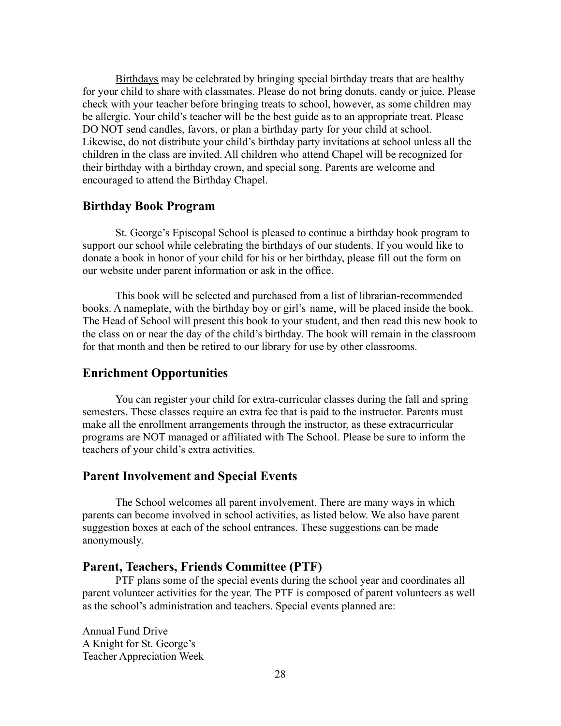Birthdays may be celebrated by bringing special birthday treats that are healthy for your child to share with classmates. Please do not bring donuts, candy or juice. Please check with your teacher before bringing treats to school, however, as some children may be allergic. Your child's teacher will be the best guide as to an appropriate treat. Please DO NOT send candles, favors, or plan a birthday party for your child at school. Likewise, do not distribute your child's birthday party invitations at school unless all the children in the class are invited. All children who attend Chapel will be recognized for their birthday with a birthday crown, and special song. Parents are welcome and encouraged to attend the Birthday Chapel.

## <span id="page-27-0"></span>**Birthday Book Program**

St. George's Episcopal School is pleased to continue a birthday book program to support our school while celebrating the birthdays of our students. If you would like to donate a book in honor of your child for his or her birthday, please fill out the form on our website under parent information or ask in the office.

This book will be selected and purchased from a list of librarian-recommended books. A nameplate, with the birthday boy or girl's name, will be placed inside the book. The Head of School will present this book to your student, and then read this new book to the class on or near the day of the child's birthday. The book will remain in the classroom for that month and then be retired to our library for use by other classrooms.

## <span id="page-27-1"></span>**Enrichment Opportunities**

You can register your child for extra-curricular classes during the fall and spring semesters. These classes require an extra fee that is paid to the instructor. Parents must make all the enrollment arrangements through the instructor, as these extracurricular programs are NOT managed or affiliated with The School. Please be sure to inform the teachers of your child's extra activities.

### <span id="page-27-2"></span>**Parent Involvement and Special Events**

The School welcomes all parent involvement. There are many ways in which parents can become involved in school activities, as listed below. We also have parent suggestion boxes at each of the school entrances. These suggestions can be made anonymously.

#### <span id="page-27-3"></span>**Parent, Teachers, Friends Committee (PTF)**

PTF plans some of the special events during the school year and coordinates all parent volunteer activities for the year. The PTF is composed of parent volunteers as well as the school's administration and teachers. Special events planned are:

Annual Fund Drive A Knight for St. George's Teacher Appreciation Week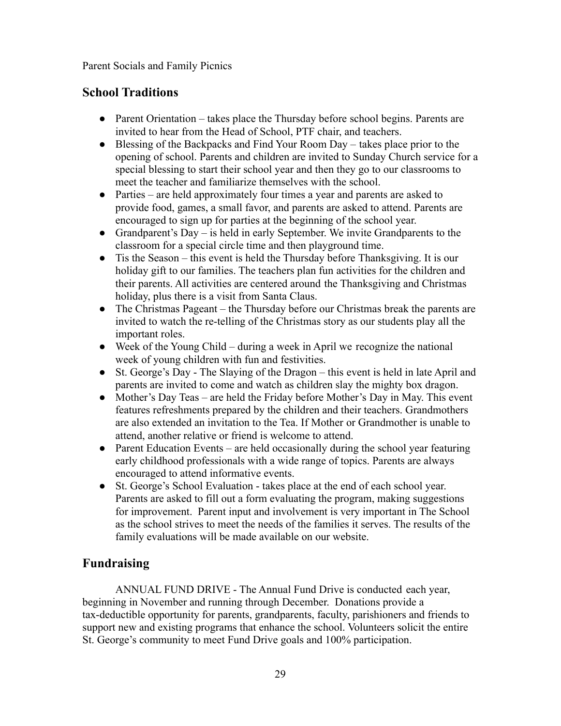Parent Socials and Family Picnics

# <span id="page-28-0"></span>**School Traditions**

- Parent Orientation takes place the Thursday before school begins. Parents are invited to hear from the Head of School, PTF chair, and teachers.
- Blessing of the Backpacks and Find Your Room Day takes place prior to the opening of school. Parents and children are invited to Sunday Church service for a special blessing to start their school year and then they go to our classrooms to meet the teacher and familiarize themselves with the school.
- Parties are held approximately four times a year and parents are asked to provide food, games, a small favor, and parents are asked to attend. Parents are encouraged to sign up for parties at the beginning of the school year.
- Grandparent's Day is held in early September. We invite Grandparents to the classroom for a special circle time and then playground time.
- Tis the Season this event is held the Thursday before Thanksgiving. It is our holiday gift to our families. The teachers plan fun activities for the children and their parents. All activities are centered around the Thanksgiving and Christmas holiday, plus there is a visit from Santa Claus.
- The Christmas Pageant the Thursday before our Christmas break the parents are invited to watch the re-telling of the Christmas story as our students play all the important roles.
- Week of the Young Child during a week in April we recognize the national week of young children with fun and festivities.
- St. George's Day The Slaying of the Dragon this event is held in late April and parents are invited to come and watch as children slay the mighty box dragon.
- Mother's Day Teas are held the Friday before Mother's Day in May. This event features refreshments prepared by the children and their teachers. Grandmothers are also extended an invitation to the Tea. If Mother or Grandmother is unable to attend, another relative or friend is welcome to attend.
- Parent Education Events are held occasionally during the school year featuring early childhood professionals with a wide range of topics. Parents are always encouraged to attend informative events.
- St. George's School Evaluation takes place at the end of each school year. Parents are asked to fill out a form evaluating the program, making suggestions for improvement. Parent input and involvement is very important in The School as the school strives to meet the needs of the families it serves. The results of the family evaluations will be made available on our website.

# <span id="page-28-1"></span>**Fundraising**

ANNUAL FUND DRIVE - The Annual Fund Drive is conducted each year, beginning in November and running through December. Donations provide a tax-deductible opportunity for parents, grandparents, faculty, parishioners and friends to support new and existing programs that enhance the school. Volunteers solicit the entire St. George's community to meet Fund Drive goals and 100% participation.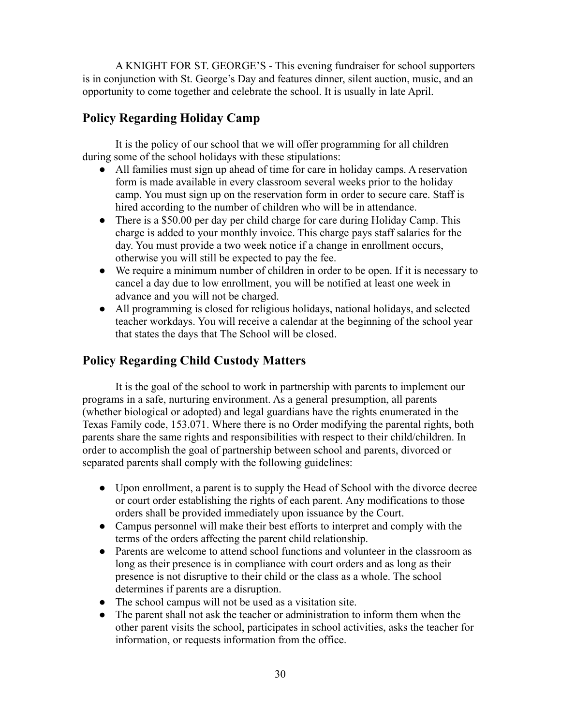A KNIGHT FOR ST. GEORGE'S - This evening fundraiser for school supporters is in conjunction with St. George's Day and features dinner, silent auction, music, and an opportunity to come together and celebrate the school. It is usually in late April.

# <span id="page-29-0"></span>**Policy Regarding Holiday Camp**

It is the policy of our school that we will offer programming for all children during some of the school holidays with these stipulations:

- All families must sign up ahead of time for care in holiday camps. A reservation form is made available in every classroom several weeks prior to the holiday camp. You must sign up on the reservation form in order to secure care. Staff is hired according to the number of children who will be in attendance.
- There is a \$50.00 per day per child charge for care during Holiday Camp. This charge is added to your monthly invoice. This charge pays staff salaries for the day. You must provide a two week notice if a change in enrollment occurs, otherwise you will still be expected to pay the fee.
- We require a minimum number of children in order to be open. If it is necessary to cancel a day due to low enrollment, you will be notified at least one week in advance and you will not be charged.
- All programming is closed for religious holidays, national holidays, and selected teacher workdays. You will receive a calendar at the beginning of the school year that states the days that The School will be closed.

# <span id="page-29-1"></span>**Policy Regarding Child Custody Matters**

It is the goal of the school to work in partnership with parents to implement our programs in a safe, nurturing environment. As a general presumption, all parents (whether biological or adopted) and legal guardians have the rights enumerated in the Texas Family code, 153.071. Where there is no Order modifying the parental rights, both parents share the same rights and responsibilities with respect to their child/children. In order to accomplish the goal of partnership between school and parents, divorced or separated parents shall comply with the following guidelines:

- Upon enrollment, a parent is to supply the Head of School with the divorce decree or court order establishing the rights of each parent. Any modifications to those orders shall be provided immediately upon issuance by the Court.
- Campus personnel will make their best efforts to interpret and comply with the terms of the orders affecting the parent child relationship.
- Parents are welcome to attend school functions and volunteer in the classroom as long as their presence is in compliance with court orders and as long as their presence is not disruptive to their child or the class as a whole. The school determines if parents are a disruption.
- The school campus will not be used as a visitation site.
- The parent shall not ask the teacher or administration to inform them when the other parent visits the school, participates in school activities, asks the teacher for information, or requests information from the office.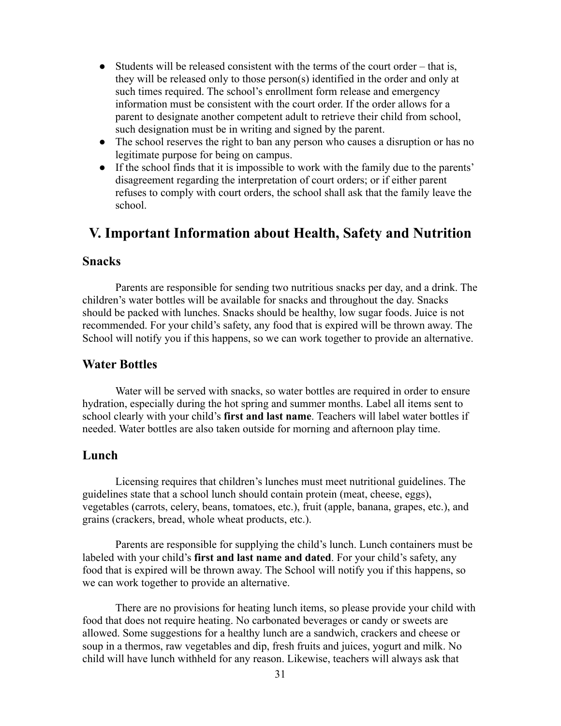- Students will be released consistent with the terms of the court order that is, they will be released only to those person(s) identified in the order and only at such times required. The school's enrollment form release and emergency information must be consistent with the court order. If the order allows for a parent to designate another competent adult to retrieve their child from school, such designation must be in writing and signed by the parent.
- The school reserves the right to ban any person who causes a disruption or has no legitimate purpose for being on campus.
- If the school finds that it is impossible to work with the family due to the parents' disagreement regarding the interpretation of court orders; or if either parent refuses to comply with court orders, the school shall ask that the family leave the school.

# <span id="page-30-0"></span>**V. Important Information about Health, Safety and Nutrition**

# <span id="page-30-1"></span>**Snacks**

Parents are responsible for sending two nutritious snacks per day, and a drink. The children's water bottles will be available for snacks and throughout the day. Snacks should be packed with lunches. Snacks should be healthy, low sugar foods. Juice is not recommended. For your child's safety, any food that is expired will be thrown away. The School will notify you if this happens, so we can work together to provide an alternative.

## <span id="page-30-2"></span>**Water Bottles**

Water will be served with snacks, so water bottles are required in order to ensure hydration, especially during the hot spring and summer months. Label all items sent to school clearly with your child's **first and last name**. Teachers will label water bottles if needed. Water bottles are also taken outside for morning and afternoon play time.

## <span id="page-30-3"></span>**Lunch**

Licensing requires that children's lunches must meet nutritional guidelines. The guidelines state that a school lunch should contain protein (meat, cheese, eggs), vegetables (carrots, celery, beans, tomatoes, etc.), fruit (apple, banana, grapes, etc.), and grains (crackers, bread, whole wheat products, etc.).

Parents are responsible for supplying the child's lunch. Lunch containers must be labeled with your child's **first and last name and dated**. For your child's safety, any food that is expired will be thrown away. The School will notify you if this happens, so we can work together to provide an alternative.

There are no provisions for heating lunch items, so please provide your child with food that does not require heating. No carbonated beverages or candy or sweets are allowed. Some suggestions for a healthy lunch are a sandwich, crackers and cheese or soup in a thermos, raw vegetables and dip, fresh fruits and juices, yogurt and milk. No child will have lunch withheld for any reason. Likewise, teachers will always ask that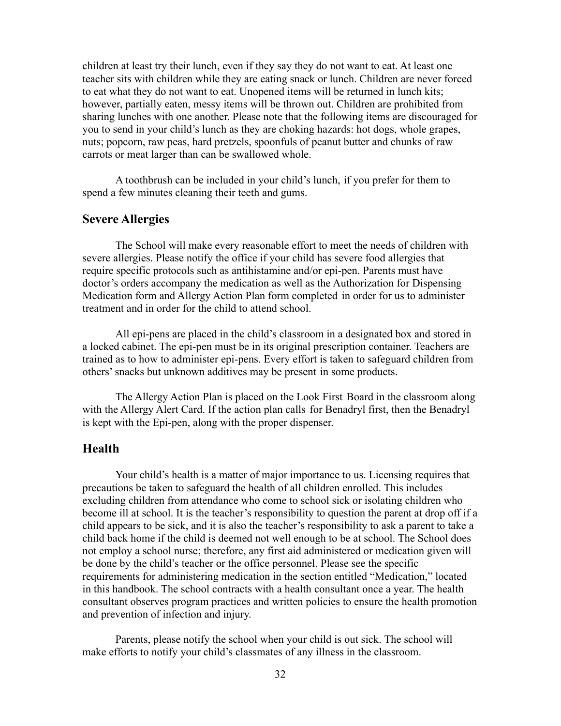children at least try their lunch, even if they say they do not want to eat. At least one teacher sits with children while they are eating snack or lunch. Children are never forced to eat what they do not want to eat. Unopened items will be returned in lunch kits; however, partially eaten, messy items will be thrown out. Children are prohibited from sharing lunches with one another. Please note that the following items are discouraged for you to send in your child's lunch as they are choking hazards: hot dogs, whole grapes, nuts; popcorn, raw peas, hard pretzels, spoonfuls of peanut butter and chunks of raw carrots or meat larger than can be swallowed whole.

A toothbrush can be included in your child's lunch, if you prefer for them to spend a few minutes cleaning their teeth and gums.

# <span id="page-31-0"></span>**Severe Allergies**

The School will make every reasonable effort to meet the needs of children with severe allergies. Please notify the office if your child has severe food allergies that require specific protocols such as antihistamine and/or epi-pen. Parents must have doctor's orders accompany the medication as well as the Authorization for Dispensing Medication form and Allergy Action Plan form completed in order for us to administer treatment and in order for the child to attend school.

All epi-pens are placed in the child's classroom in a designated box and stored in a locked cabinet. The epi-pen must be in its original prescription container. Teachers are trained as to how to administer epi-pens. Every effort is taken to safeguard children from others' snacks but unknown additives may be present in some products.

The Allergy Action Plan is placed on the Look First Board in the classroom along with the Allergy Alert Card. If the action plan calls for Benadryl first, then the Benadryl is kept with the Epi-pen, along with the proper dispenser.

## <span id="page-31-1"></span>**Health**

Your child's health is a matter of major importance to us. Licensing requires that precautions be taken to safeguard the health of all children enrolled. This includes excluding children from attendance who come to school sick or isolating children who become ill at school. It is the teacher's responsibility to question the parent at drop off if a child appears to be sick, and it is also the teacher's responsibility to ask a parent to take a child back home if the child is deemed not well enough to be at school. The School does not employ a school nurse; therefore, any first aid administered or medication given will be done by the child's teacher or the office personnel. Please see the specific requirements for administering medication in the section entitled "Medication," located in this handbook. The school contracts with a health consultant once a year. The health consultant observes program practices and written policies to ensure the health promotion and prevention of infection and injury.

Parents, please notify the school when your child is out sick. The school will make efforts to notify your child's classmates of any illness in the classroom.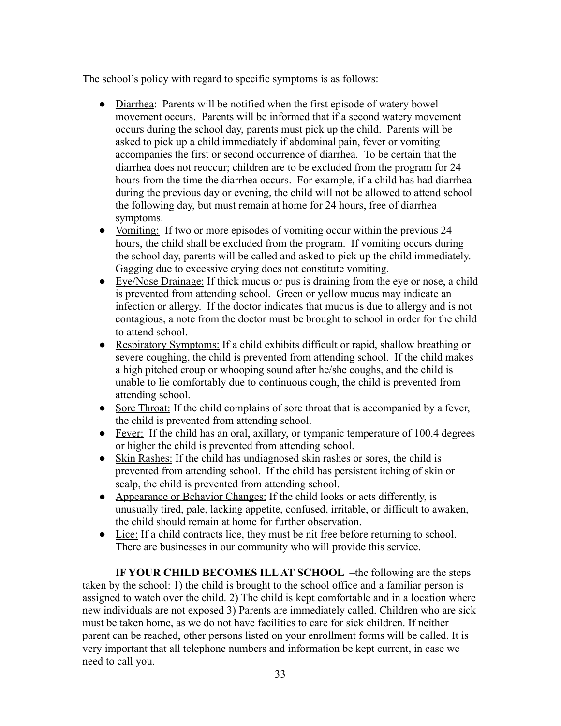The school's policy with regard to specific symptoms is as follows:

- Diarrhea: Parents will be notified when the first episode of watery bowel movement occurs. Parents will be informed that if a second watery movement occurs during the school day, parents must pick up the child. Parents will be asked to pick up a child immediately if abdominal pain, fever or vomiting accompanies the first or second occurrence of diarrhea. To be certain that the diarrhea does not reoccur; children are to be excluded from the program for 24 hours from the time the diarrhea occurs. For example, if a child has had diarrhea during the previous day or evening, the child will not be allowed to attend school the following day, but must remain at home for 24 hours, free of diarrhea symptoms.
- Vomiting: If two or more episodes of vomiting occur within the previous 24 hours, the child shall be excluded from the program. If vomiting occurs during the school day, parents will be called and asked to pick up the child immediately. Gagging due to excessive crying does not constitute vomiting.
- Eye/Nose Drainage: If thick mucus or pus is draining from the eye or nose, a child is prevented from attending school. Green or yellow mucus may indicate an infection or allergy. If the doctor indicates that mucus is due to allergy and is not contagious, a note from the doctor must be brought to school in order for the child to attend school.
- Respiratory Symptoms: If a child exhibits difficult or rapid, shallow breathing or severe coughing, the child is prevented from attending school. If the child makes a high pitched croup or whooping sound after he/she coughs, and the child is unable to lie comfortably due to continuous cough, the child is prevented from attending school.
- Sore Throat: If the child complains of sore throat that is accompanied by a fever, the child is prevented from attending school.
- Fever: If the child has an oral, axillary, or tympanic temperature of 100.4 degrees or higher the child is prevented from attending school.
- Skin Rashes: If the child has undiagnosed skin rashes or sores, the child is prevented from attending school. If the child has persistent itching of skin or scalp, the child is prevented from attending school.
- Appearance or Behavior Changes: If the child looks or acts differently, is unusually tired, pale, lacking appetite, confused, irritable, or difficult to awaken, the child should remain at home for further observation.
- Lice: If a child contracts lice, they must be nit free before returning to school. There are businesses in our community who will provide this service.

**IF YOUR CHILD BECOMES ILL AT SCHOOL** –the following are the steps taken by the school: 1) the child is brought to the school office and a familiar person is assigned to watch over the child. 2) The child is kept comfortable and in a location where new individuals are not exposed 3) Parents are immediately called. Children who are sick must be taken home, as we do not have facilities to care for sick children. If neither parent can be reached, other persons listed on your enrollment forms will be called. It is very important that all telephone numbers and information be kept current, in case we need to call you.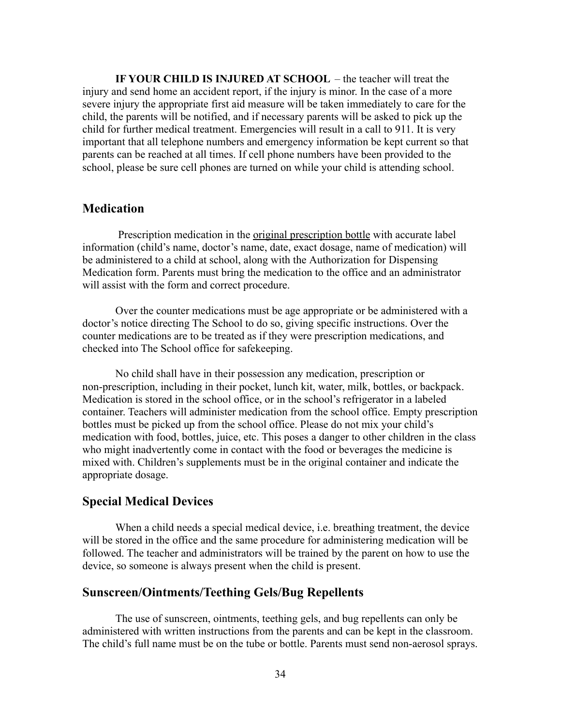**IF YOUR CHILD IS INJURED AT SCHOOL** – the teacher will treat the injury and send home an accident report, if the injury is minor. In the case of a more severe injury the appropriate first aid measure will be taken immediately to care for the child, the parents will be notified, and if necessary parents will be asked to pick up the child for further medical treatment. Emergencies will result in a call to 911. It is very important that all telephone numbers and emergency information be kept current so that parents can be reached at all times. If cell phone numbers have been provided to the school, please be sure cell phones are turned on while your child is attending school.

# <span id="page-33-0"></span>**Medication**

Prescription medication in the original prescription bottle with accurate label information (child's name, doctor's name, date, exact dosage, name of medication) will be administered to a child at school, along with the Authorization for Dispensing Medication form. Parents must bring the medication to the office and an administrator will assist with the form and correct procedure.

Over the counter medications must be age appropriate or be administered with a doctor's notice directing The School to do so, giving specific instructions. Over the counter medications are to be treated as if they were prescription medications, and checked into The School office for safekeeping.

No child shall have in their possession any medication, prescription or non-prescription, including in their pocket, lunch kit, water, milk, bottles, or backpack. Medication is stored in the school office, or in the school's refrigerator in a labeled container. Teachers will administer medication from the school office. Empty prescription bottles must be picked up from the school office. Please do not mix your child's medication with food, bottles, juice, etc. This poses a danger to other children in the class who might inadvertently come in contact with the food or beverages the medicine is mixed with. Children's supplements must be in the original container and indicate the appropriate dosage.

#### <span id="page-33-1"></span>**Special Medical Devices**

When a child needs a special medical device, i.e. breathing treatment, the device will be stored in the office and the same procedure for administering medication will be followed. The teacher and administrators will be trained by the parent on how to use the device, so someone is always present when the child is present.

## <span id="page-33-2"></span>**Sunscreen/Ointments/Teething Gels/Bug Repellents**

The use of sunscreen, ointments, teething gels, and bug repellents can only be administered with written instructions from the parents and can be kept in the classroom. The child's full name must be on the tube or bottle. Parents must send non-aerosol sprays.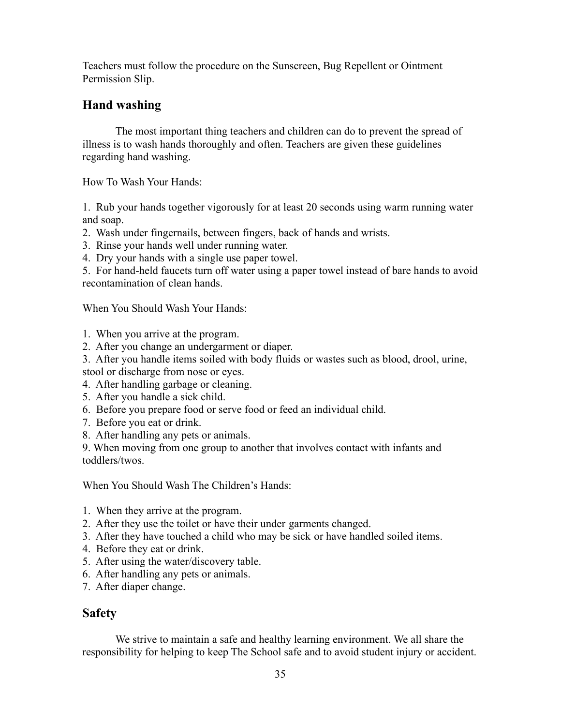Teachers must follow the procedure on the Sunscreen, Bug Repellent or Ointment Permission Slip.

# <span id="page-34-0"></span>**Hand washing**

The most important thing teachers and children can do to prevent the spread of illness is to wash hands thoroughly and often. Teachers are given these guidelines regarding hand washing.

How To Wash Your Hands:

1. Rub your hands together vigorously for at least 20 seconds using warm running water and soap.

- 2. Wash under fingernails, between fingers, back of hands and wrists.
- 3. Rinse your hands well under running water.
- 4. Dry your hands with a single use paper towel.

5. For hand-held faucets turn off water using a paper towel instead of bare hands to avoid recontamination of clean hands.

When You Should Wash Your Hands:

- 1. When you arrive at the program.
- 2. After you change an undergarment or diaper.
- 3. After you handle items soiled with body fluids or wastes such as blood, drool, urine, stool or discharge from nose or eyes.
- 4. After handling garbage or cleaning.
- 5. After you handle a sick child.
- 6. Before you prepare food or serve food or feed an individual child.
- 7. Before you eat or drink.
- 8. After handling any pets or animals.

9. When moving from one group to another that involves contact with infants and toddlers/twos.

When You Should Wash The Children's Hands:

- 1. When they arrive at the program.
- 2. After they use the toilet or have their under garments changed.
- 3. After they have touched a child who may be sick or have handled soiled items.
- 4. Before they eat or drink.
- 5. After using the water/discovery table.
- 6. After handling any pets or animals.
- 7. After diaper change.

# <span id="page-34-1"></span>**Safety**

We strive to maintain a safe and healthy learning environment. We all share the responsibility for helping to keep The School safe and to avoid student injury or accident.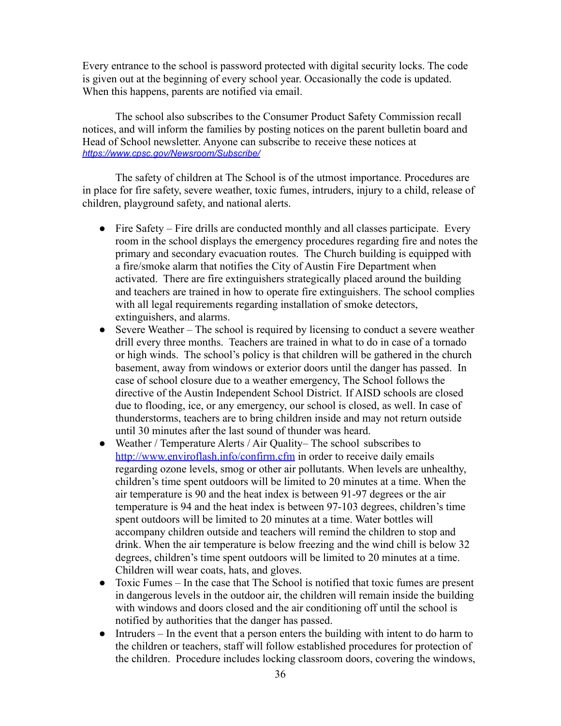Every entrance to the school is password protected with digital security locks. The code is given out at the beginning of every school year. Occasionally the code is updated. When this happens, parents are notified via email.

The school also subscribes to the Consumer Product Safety Commission recall notices, and will inform the families by posting notices on the parent bulletin board and Head of School newsletter. Anyone can subscribe to receive these notices at *<https://www.cpsc.gov/Newsroom/Subscribe/>*

The safety of children at The School is of the utmost importance. Procedures are in place for fire safety, severe weather, toxic fumes, intruders, injury to a child, release of children, playground safety, and national alerts.

- Fire Safety Fire drills are conducted monthly and all classes participate. Every room in the school displays the emergency procedures regarding fire and notes the primary and secondary evacuation routes. The Church building is equipped with a fire/smoke alarm that notifies the City of Austin Fire Department when activated. There are fire extinguishers strategically placed around the building and teachers are trained in how to operate fire extinguishers. The school complies with all legal requirements regarding installation of smoke detectors, extinguishers, and alarms.
- Severe Weather The school is required by licensing to conduct a severe weather drill every three months. Teachers are trained in what to do in case of a tornado or high winds. The school's policy is that children will be gathered in the church basement, away from windows or exterior doors until the danger has passed. In case of school closure due to a weather emergency, The School follows the directive of the Austin Independent School District. If AISD schools are closed due to flooding, ice, or any emergency, our school is closed, as well. In case of thunderstorms, teachers are to bring children inside and may not return outside until 30 minutes after the last sound of thunder was heard.
- Weather / Temperature Alerts / Air Quality– The school subscribes to <http://www.enviroflash.info/confirm.cfm> in order to receive daily emails regarding ozone levels, smog or other air pollutants. When levels are unhealthy, children's time spent outdoors will be limited to 20 minutes at a time. When the air temperature is 90 and the heat index is between 91-97 degrees or the air temperature is 94 and the heat index is between 97-103 degrees, children's time spent outdoors will be limited to 20 minutes at a time. Water bottles will accompany children outside and teachers will remind the children to stop and drink. When the air temperature is below freezing and the wind chill is below 32 degrees, children's time spent outdoors will be limited to 20 minutes at a time. Children will wear coats, hats, and gloves.
- Toxic Fumes In the case that The School is notified that toxic fumes are present in dangerous levels in the outdoor air, the children will remain inside the building with windows and doors closed and the air conditioning off until the school is notified by authorities that the danger has passed.
- Intruders In the event that a person enters the building with intent to do harm to the children or teachers, staff will follow established procedures for protection of the children. Procedure includes locking classroom doors, covering the windows,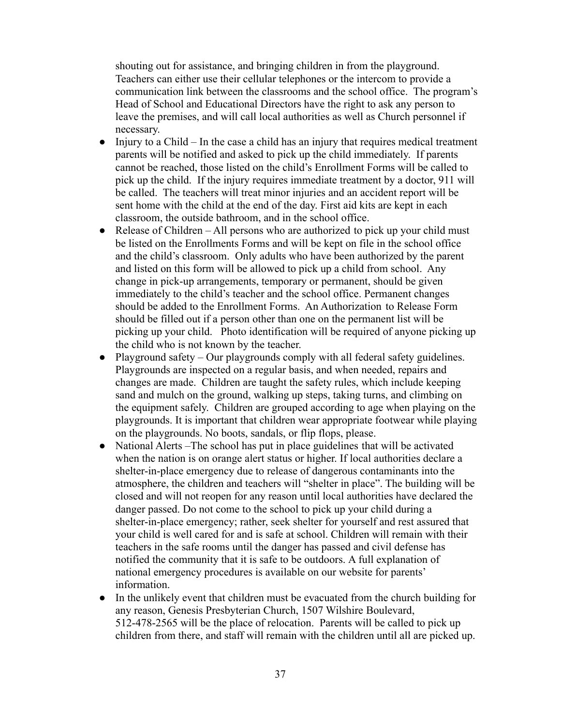shouting out for assistance, and bringing children in from the playground. Teachers can either use their cellular telephones or the intercom to provide a communication link between the classrooms and the school office. The program's Head of School and Educational Directors have the right to ask any person to leave the premises, and will call local authorities as well as Church personnel if necessary.

- $\bullet$  Injury to a Child In the case a child has an injury that requires medical treatment parents will be notified and asked to pick up the child immediately. If parents cannot be reached, those listed on the child's Enrollment Forms will be called to pick up the child. If the injury requires immediate treatment by a doctor, 911 will be called. The teachers will treat minor injuries and an accident report will be sent home with the child at the end of the day. First aid kits are kept in each classroom, the outside bathroom, and in the school office.
- Release of Children All persons who are authorized to pick up your child must be listed on the Enrollments Forms and will be kept on file in the school office and the child's classroom. Only adults who have been authorized by the parent and listed on this form will be allowed to pick up a child from school. Any change in pick-up arrangements, temporary or permanent, should be given immediately to the child's teacher and the school office. Permanent changes should be added to the Enrollment Forms. An Authorization to Release Form should be filled out if a person other than one on the permanent list will be picking up your child. Photo identification will be required of anyone picking up the child who is not known by the teacher.
- Playground safety Our playgrounds comply with all federal safety guidelines. Playgrounds are inspected on a regular basis, and when needed, repairs and changes are made. Children are taught the safety rules, which include keeping sand and mulch on the ground, walking up steps, taking turns, and climbing on the equipment safely. Children are grouped according to age when playing on the playgrounds. It is important that children wear appropriate footwear while playing on the playgrounds. No boots, sandals, or flip flops, please.
- National Alerts –The school has put in place guidelines that will be activated when the nation is on orange alert status or higher. If local authorities declare a shelter-in-place emergency due to release of dangerous contaminants into the atmosphere, the children and teachers will "shelter in place". The building will be closed and will not reopen for any reason until local authorities have declared the danger passed. Do not come to the school to pick up your child during a shelter-in-place emergency; rather, seek shelter for yourself and rest assured that your child is well cared for and is safe at school. Children will remain with their teachers in the safe rooms until the danger has passed and civil defense has notified the community that it is safe to be outdoors. A full explanation of national emergency procedures is available on our website for parents' information.
- In the unlikely event that children must be evacuated from the church building for any reason, Genesis Presbyterian Church, 1507 Wilshire Boulevard, 512-478-2565 will be the place of relocation. Parents will be called to pick up children from there, and staff will remain with the children until all are picked up.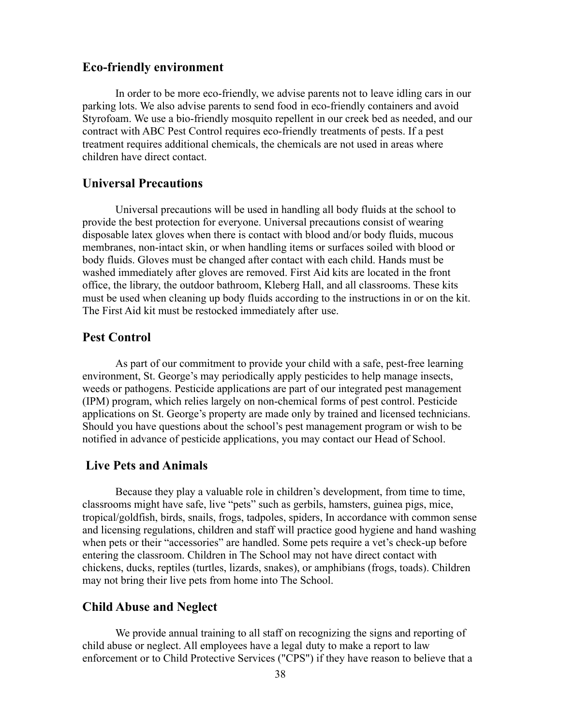# <span id="page-37-0"></span>**Eco-friendly environment**

In order to be more eco-friendly, we advise parents not to leave idling cars in our parking lots. We also advise parents to send food in eco-friendly containers and avoid Styrofoam. We use a bio-friendly mosquito repellent in our creek bed as needed, and our contract with ABC Pest Control requires eco-friendly treatments of pests. If a pest treatment requires additional chemicals, the chemicals are not used in areas where children have direct contact.

## <span id="page-37-1"></span>**Universal Precautions**

Universal precautions will be used in handling all body fluids at the school to provide the best protection for everyone. Universal precautions consist of wearing disposable latex gloves when there is contact with blood and/or body fluids, mucous membranes, non-intact skin, or when handling items or surfaces soiled with blood or body fluids. Gloves must be changed after contact with each child. Hands must be washed immediately after gloves are removed. First Aid kits are located in the front office, the library, the outdoor bathroom, Kleberg Hall, and all classrooms. These kits must be used when cleaning up body fluids according to the instructions in or on the kit. The First Aid kit must be restocked immediately after use.

## <span id="page-37-2"></span>**Pest Control**

As part of our commitment to provide your child with a safe, pest-free learning environment, St. George's may periodically apply pesticides to help manage insects, weeds or pathogens. Pesticide applications are part of our integrated pest management (IPM) program, which relies largely on non-chemical forms of pest control. Pesticide applications on St. George's property are made only by trained and licensed technicians. Should you have questions about the school's pest management program or wish to be notified in advance of pesticide applications, you may contact our Head of School.

# <span id="page-37-3"></span>**Live Pets and Animals**

Because they play a valuable role in children's development, from time to time, classrooms might have safe, live "pets" such as gerbils, hamsters, guinea pigs, mice, tropical/goldfish, birds, snails, frogs, tadpoles, spiders, In accordance with common sense and licensing regulations, children and staff will practice good hygiene and hand washing when pets or their "accessories" are handled. Some pets require a vet's check-up before entering the classroom. Children in The School may not have direct contact with chickens, ducks, reptiles (turtles, lizards, snakes), or amphibians (frogs, toads). Children may not bring their live pets from home into The School.

#### <span id="page-37-4"></span>**Child Abuse and Neglect**

We provide annual training to all staff on recognizing the signs and reporting of child abuse or neglect. All employees have a legal duty to make a report to law enforcement or to Child Protective Services ("CPS") if they have reason to believe that a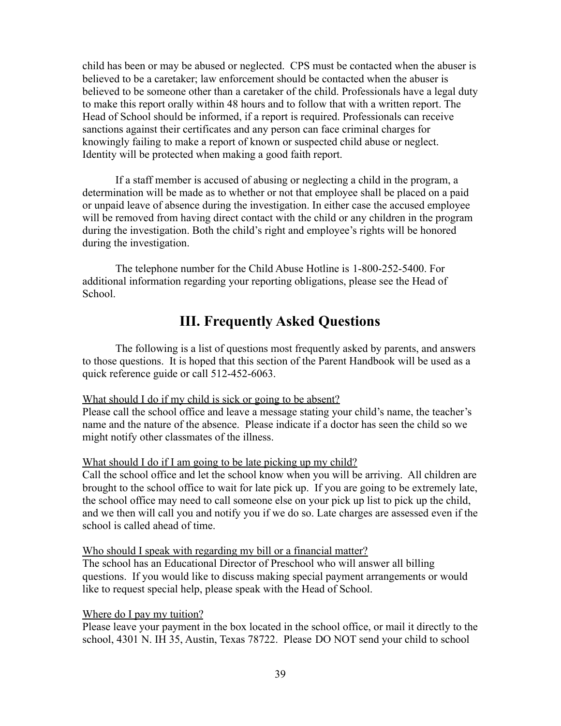child has been or may be abused or neglected. CPS must be contacted when the abuser is believed to be a caretaker; law enforcement should be contacted when the abuser is believed to be someone other than a caretaker of the child. Professionals have a legal duty to make this report orally within 48 hours and to follow that with a written report. The Head of School should be informed, if a report is required. Professionals can receive sanctions against their certificates and any person can face criminal charges for knowingly failing to make a report of known or suspected child abuse or neglect. Identity will be protected when making a good faith report.

If a staff member is accused of abusing or neglecting a child in the program, a determination will be made as to whether or not that employee shall be placed on a paid or unpaid leave of absence during the investigation. In either case the accused employee will be removed from having direct contact with the child or any children in the program during the investigation. Both the child's right and employee's rights will be honored during the investigation.

The telephone number for the Child Abuse Hotline is 1-800-252-5400. For additional information regarding your reporting obligations, please see the Head of School.

# **III. Frequently Asked Questions**

<span id="page-38-0"></span>The following is a list of questions most frequently asked by parents, and answers to those questions. It is hoped that this section of the Parent Handbook will be used as a quick reference guide or call 512-452-6063.

#### What should I do if my child is sick or going to be absent?

Please call the school office and leave a message stating your child's name, the teacher's name and the nature of the absence. Please indicate if a doctor has seen the child so we might notify other classmates of the illness.

#### What should I do if I am going to be late picking up my child?

Call the school office and let the school know when you will be arriving. All children are brought to the school office to wait for late pick up. If you are going to be extremely late, the school office may need to call someone else on your pick up list to pick up the child, and we then will call you and notify you if we do so. Late charges are assessed even if the school is called ahead of time.

#### Who should I speak with regarding my bill or a financial matter?

The school has an Educational Director of Preschool who will answer all billing questions. If you would like to discuss making special payment arrangements or would like to request special help, please speak with the Head of School.

#### Where do I pay my tuition?

Please leave your payment in the box located in the school office, or mail it directly to the school, 4301 N. IH 35, Austin, Texas 78722. Please DO NOT send your child to school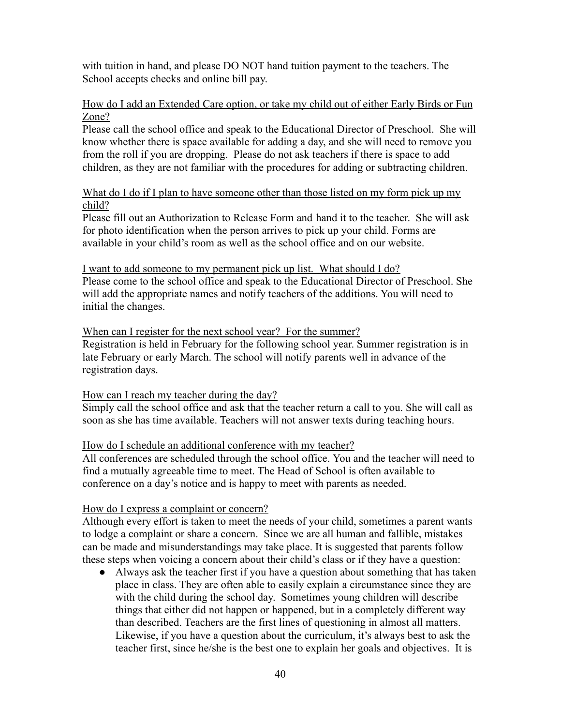with tuition in hand, and please DO NOT hand tuition payment to the teachers. The School accepts checks and online bill pay.

### How do I add an Extended Care option, or take my child out of either Early Birds or Fun Zone?

Please call the school office and speak to the Educational Director of Preschool. She will know whether there is space available for adding a day, and she will need to remove you from the roll if you are dropping. Please do not ask teachers if there is space to add children, as they are not familiar with the procedures for adding or subtracting children.

## What do I do if I plan to have someone other than those listed on my form pick up my child?

Please fill out an Authorization to Release Form and hand it to the teacher. She will ask for photo identification when the person arrives to pick up your child. Forms are available in your child's room as well as the school office and on our website.

#### I want to add someone to my permanent pick up list. What should I do?

Please come to the school office and speak to the Educational Director of Preschool. She will add the appropriate names and notify teachers of the additions. You will need to initial the changes.

#### When can I register for the next school year? For the summer?

Registration is held in February for the following school year. Summer registration is in late February or early March. The school will notify parents well in advance of the registration days.

#### How can I reach my teacher during the day?

Simply call the school office and ask that the teacher return a call to you. She will call as soon as she has time available. Teachers will not answer texts during teaching hours.

#### How do I schedule an additional conference with my teacher?

All conferences are scheduled through the school office. You and the teacher will need to find a mutually agreeable time to meet. The Head of School is often available to conference on a day's notice and is happy to meet with parents as needed.

#### How do I express a complaint or concern?

Although every effort is taken to meet the needs of your child, sometimes a parent wants to lodge a complaint or share a concern. Since we are all human and fallible, mistakes can be made and misunderstandings may take place. It is suggested that parents follow these steps when voicing a concern about their child's class or if they have a question:

● Always ask the teacher first if you have a question about something that has taken place in class. They are often able to easily explain a circumstance since they are with the child during the school day. Sometimes young children will describe things that either did not happen or happened, but in a completely different way than described. Teachers are the first lines of questioning in almost all matters. Likewise, if you have a question about the curriculum, it's always best to ask the teacher first, since he/she is the best one to explain her goals and objectives. It is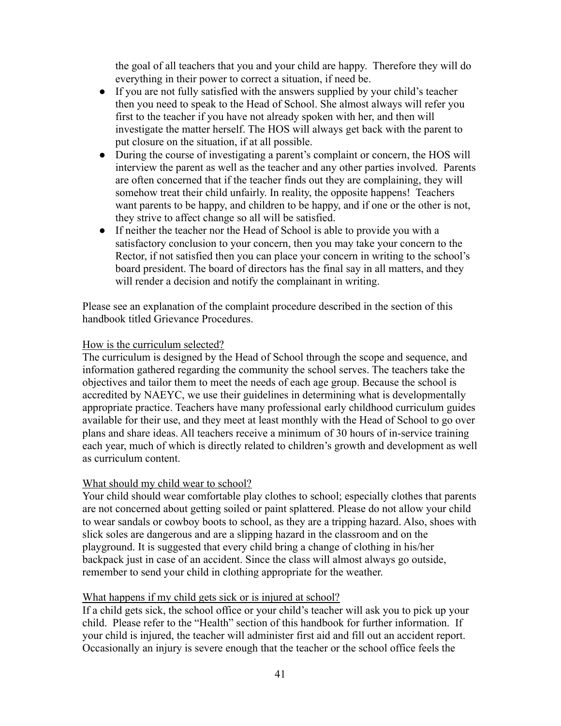the goal of all teachers that you and your child are happy. Therefore they will do everything in their power to correct a situation, if need be.

- If you are not fully satisfied with the answers supplied by your child's teacher then you need to speak to the Head of School. She almost always will refer you first to the teacher if you have not already spoken with her, and then will investigate the matter herself. The HOS will always get back with the parent to put closure on the situation, if at all possible.
- During the course of investigating a parent's complaint or concern, the HOS will interview the parent as well as the teacher and any other parties involved. Parents are often concerned that if the teacher finds out they are complaining, they will somehow treat their child unfairly. In reality, the opposite happens! Teachers want parents to be happy, and children to be happy, and if one or the other is not, they strive to affect change so all will be satisfied.
- If neither the teacher nor the Head of School is able to provide you with a satisfactory conclusion to your concern, then you may take your concern to the Rector, if not satisfied then you can place your concern in writing to the school's board president. The board of directors has the final say in all matters, and they will render a decision and notify the complainant in writing.

Please see an explanation of the complaint procedure described in the section of this handbook titled Grievance Procedures.

## How is the curriculum selected?

The curriculum is designed by the Head of School through the scope and sequence, and information gathered regarding the community the school serves. The teachers take the objectives and tailor them to meet the needs of each age group. Because the school is accredited by NAEYC, we use their guidelines in determining what is developmentally appropriate practice. Teachers have many professional early childhood curriculum guides available for their use, and they meet at least monthly with the Head of School to go over plans and share ideas. All teachers receive a minimum of 30 hours of in-service training each year, much of which is directly related to children's growth and development as well as curriculum content.

# What should my child wear to school?

Your child should wear comfortable play clothes to school; especially clothes that parents are not concerned about getting soiled or paint splattered. Please do not allow your child to wear sandals or cowboy boots to school, as they are a tripping hazard. Also, shoes with slick soles are dangerous and are a slipping hazard in the classroom and on the playground. It is suggested that every child bring a change of clothing in his/her backpack just in case of an accident. Since the class will almost always go outside, remember to send your child in clothing appropriate for the weather.

#### What happens if my child gets sick or is injured at school?

If a child gets sick, the school office or your child's teacher will ask you to pick up your child. Please refer to the "Health" section of this handbook for further information. If your child is injured, the teacher will administer first aid and fill out an accident report. Occasionally an injury is severe enough that the teacher or the school office feels the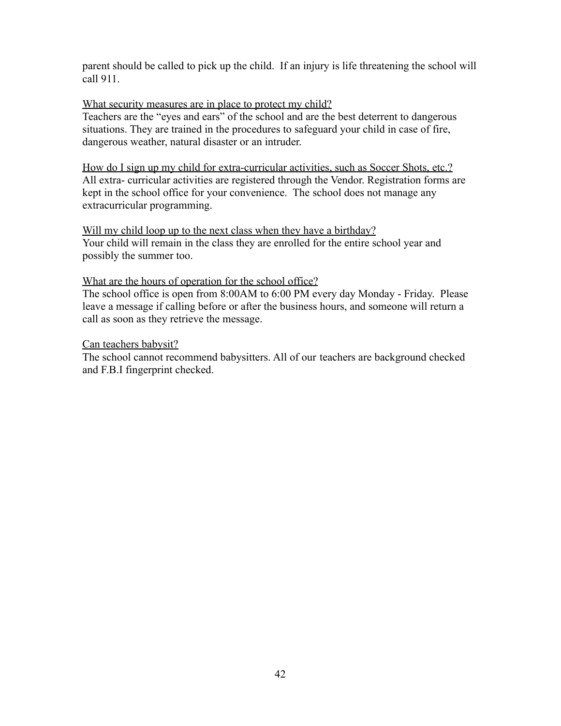parent should be called to pick up the child. If an injury is life threatening the school will call 911.

## What security measures are in place to protect my child?

Teachers are the "eyes and ears" of the school and are the best deterrent to dangerous situations. They are trained in the procedures to safeguard your child in case of fire, dangerous weather, natural disaster or an intruder.

How do I sign up my child for extra-curricular activities, such as Soccer Shots, etc.? All extra- curricular activities are registered through the Vendor. Registration forms are kept in the school office for your convenience. The school does not manage any extracurricular programming.

Will my child loop up to the next class when they have a birthday? Your child will remain in the class they are enrolled for the entire school year and possibly the summer too.

#### What are the hours of operation for the school office?

The school office is open from 8:00AM to 6:00 PM every day Monday - Friday. Please leave a message if calling before or after the business hours, and someone will return a call as soon as they retrieve the message.

## Can teachers babysit?

The school cannot recommend babysitters. All of our teachers are background checked and F.B.I fingerprint checked.